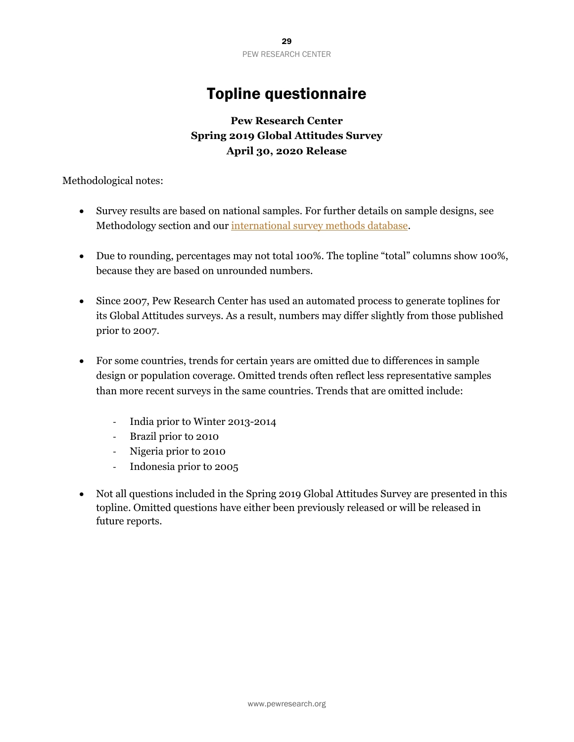# Topline questionnaire

## **Pew Research Center Spring 2019 Global Attitudes Survey April 30, 2020 Release**

Methodological notes:

- Survey results are based on national samples. For further details on sample designs, see Methodology section and our [international survey methods database.](https://www.pewresearch.org/methods/interactives/international-methodology/global-attitudes-survey/all-country/all-year)
- Due to rounding, percentages may not total 100%. The topline "total" columns show 100%, because they are based on unrounded numbers.
- Since 2007, Pew Research Center has used an automated process to generate toplines for its Global Attitudes surveys. As a result, numbers may differ slightly from those published prior to 2007.
- For some countries, trends for certain years are omitted due to differences in sample design or population coverage. Omitted trends often reflect less representative samples than more recent surveys in the same countries. Trends that are omitted include:
	- India prior to Winter 2013-2014
	- Brazil prior to 2010
	- Nigeria prior to 2010
	- Indonesia prior to 2005
- Not all questions included in the Spring 2019 Global Attitudes Survey are presented in this topline. Omitted questions have either been previously released or will be released in future reports.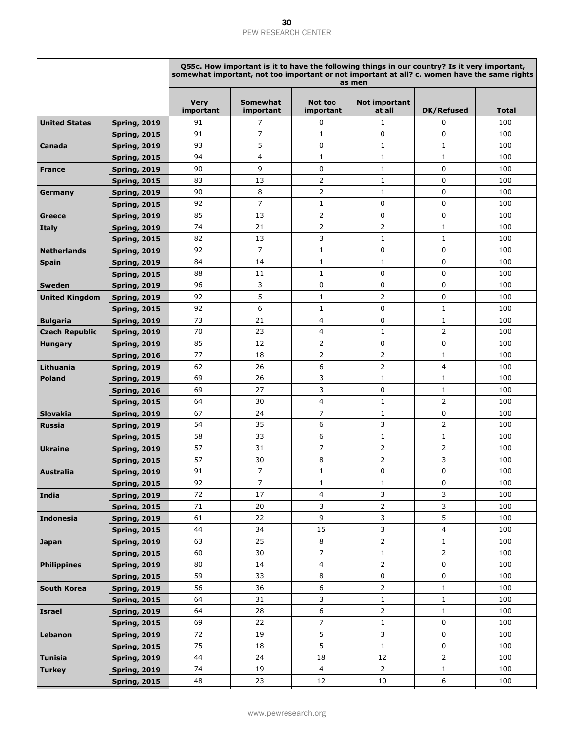|                       |                                            |                          | Q55c. How important is it to have the following things in our country? Is it very important,<br>somewhat important, not too important or not important at all? c. women have the same rights<br>as men |                         |                                |                                |              |  |  |  |
|-----------------------|--------------------------------------------|--------------------------|--------------------------------------------------------------------------------------------------------------------------------------------------------------------------------------------------------|-------------------------|--------------------------------|--------------------------------|--------------|--|--|--|
|                       |                                            | <b>Very</b><br>important | <b>Somewhat</b><br>important                                                                                                                                                                           | Not too<br>important    | Not important<br>at all        | <b>DK/Refused</b>              | <b>Total</b> |  |  |  |
| <b>United States</b>  | <b>Spring, 2019</b>                        | 91                       | 7                                                                                                                                                                                                      | 0                       | $\mathbf{1}$                   | 0                              | 100          |  |  |  |
|                       | <b>Spring, 2015</b>                        | 91                       | $\overline{7}$                                                                                                                                                                                         | $\mathbf{1}$            | 0                              | $\mathbf 0$                    | 100          |  |  |  |
| Canada                | <b>Spring, 2019</b>                        | 93                       | 5                                                                                                                                                                                                      | $\mathbf 0$             | $\mathbf{1}$                   | $\mathbf{1}$                   | 100          |  |  |  |
|                       | <b>Spring, 2015</b>                        | 94                       | 4                                                                                                                                                                                                      | 1                       | $\mathbf{1}$                   | $\mathbf{1}$                   | 100          |  |  |  |
| <b>France</b>         | <b>Spring, 2019</b>                        | 90                       | 9                                                                                                                                                                                                      | 0                       | $\mathbf{1}$                   | 0                              | 100          |  |  |  |
|                       | <b>Spring, 2015</b>                        | 83                       | 13                                                                                                                                                                                                     | $\overline{2}$          | $\mathbf{1}$                   | 0                              | 100          |  |  |  |
| Germany               | <b>Spring, 2019</b>                        | 90                       | 8                                                                                                                                                                                                      | $\overline{2}$          | $\mathbf{1}$                   | $\mathbf 0$                    | 100          |  |  |  |
|                       | <b>Spring, 2015</b>                        | 92                       | $\overline{7}$                                                                                                                                                                                         | 1                       | 0                              | 0                              | 100          |  |  |  |
| Greece                | <b>Spring, 2019</b>                        | 85                       | 13                                                                                                                                                                                                     | $\overline{2}$          | 0                              | $\mathbf 0$                    | 100          |  |  |  |
| <b>Italy</b>          | <b>Spring, 2019</b>                        | 74                       | 21                                                                                                                                                                                                     | $\overline{2}$          | 2                              | $\mathbf{1}$                   | 100          |  |  |  |
|                       | <b>Spring, 2015</b>                        | 82                       | 13                                                                                                                                                                                                     | 3                       | $\mathbf{1}$                   | $\mathbf{1}$                   | 100          |  |  |  |
| <b>Netherlands</b>    | <b>Spring, 2019</b>                        | 92                       | $\overline{7}$                                                                                                                                                                                         | $\mathbf{1}$            | 0                              | 0                              | 100          |  |  |  |
| <b>Spain</b>          | <b>Spring, 2019</b>                        | 84                       | 14                                                                                                                                                                                                     | $1\,$                   | 1                              | 0                              | 100          |  |  |  |
|                       | <b>Spring, 2015</b>                        | 88                       | 11                                                                                                                                                                                                     | $\mathbf{1}$            | 0                              | $\mathbf 0$                    | 100          |  |  |  |
| <b>Sweden</b>         | <b>Spring, 2019</b>                        | 96                       | 3                                                                                                                                                                                                      | 0                       | 0                              | 0                              | 100          |  |  |  |
| <b>United Kingdom</b> | <b>Spring, 2019</b>                        | 92                       | 5                                                                                                                                                                                                      | $\mathbf{1}$            | 2                              | 0                              | 100          |  |  |  |
|                       | <b>Spring, 2015</b>                        | 92                       | 6                                                                                                                                                                                                      | $\mathbf{1}$            | 0                              | $\mathbf{1}$                   | 100          |  |  |  |
| <b>Bulgaria</b>       | <b>Spring, 2019</b>                        | 73                       | 21                                                                                                                                                                                                     | 4                       | 0                              | $\mathbf{1}$                   | 100          |  |  |  |
| <b>Czech Republic</b> | <b>Spring, 2019</b>                        | 70                       | 23                                                                                                                                                                                                     | 4                       | 1                              | 2                              | 100          |  |  |  |
| <b>Hungary</b>        | <b>Spring, 2019</b>                        | 85                       | 12                                                                                                                                                                                                     | $\overline{2}$          | 0                              | 0                              | 100          |  |  |  |
|                       | <b>Spring, 2016</b>                        | 77                       | 18                                                                                                                                                                                                     | $\overline{2}$          | 2                              | $\mathbf{1}$                   | 100          |  |  |  |
| Lithuania             | <b>Spring, 2019</b>                        | 62                       | 26                                                                                                                                                                                                     | 6                       | 2                              | 4                              | 100          |  |  |  |
| <b>Poland</b>         | <b>Spring, 2019</b>                        | 69                       | 26                                                                                                                                                                                                     | 3                       | $\mathbf{1}$                   | $\mathbf{1}$                   | 100          |  |  |  |
|                       | <b>Spring, 2016</b>                        | 69                       | 27                                                                                                                                                                                                     | 3                       | 0                              | $1\,$                          | 100          |  |  |  |
|                       | <b>Spring, 2015</b>                        | 64                       | 30                                                                                                                                                                                                     | 4                       | $\mathbf{1}$                   | 2                              | 100          |  |  |  |
| <b>Slovakia</b>       | <b>Spring, 2019</b>                        | 67                       | 24                                                                                                                                                                                                     | $\overline{7}$          | 1                              | 0                              | 100          |  |  |  |
| <b>Russia</b>         | <b>Spring, 2019</b>                        | 54                       | 35                                                                                                                                                                                                     | 6                       | 3                              | 2                              | 100          |  |  |  |
|                       | <b>Spring, 2015</b>                        | 58                       | 33                                                                                                                                                                                                     | 6                       | $\mathbf{1}$                   | $\mathbf{1}$                   | 100          |  |  |  |
| <b>Ukraine</b>        | <b>Spring, 2019</b>                        | 57                       | 31                                                                                                                                                                                                     | 7                       | $\overline{2}$                 | 2                              | 100          |  |  |  |
|                       | <b>Spring, 2015</b>                        | 57                       | 30                                                                                                                                                                                                     | 8                       | 2                              | 3                              | 100          |  |  |  |
| Australia             | <b>Spring, 2019</b>                        | 91                       | $\overline{7}$                                                                                                                                                                                         | $\mathbf{1}$            | 0                              | 0                              | 100          |  |  |  |
|                       | <b>Spring, 2015</b>                        | 92                       | 7                                                                                                                                                                                                      | $\mathbf{1}$            | $\mathbf{1}$                   | 0                              | 100          |  |  |  |
| India                 | <b>Spring, 2019</b>                        | 72                       | 17                                                                                                                                                                                                     | $\overline{\mathbf{4}}$ | 3                              | 3                              | 100          |  |  |  |
|                       | <b>Spring, 2015</b>                        | 71                       | 20                                                                                                                                                                                                     | 3                       | $\overline{2}$                 | 3                              | 100          |  |  |  |
| <b>Indonesia</b>      | <b>Spring, 2019</b>                        | 61                       | 22                                                                                                                                                                                                     | 9                       | 3                              | 5                              | 100          |  |  |  |
|                       | <b>Spring, 2015</b>                        | 44                       | 34                                                                                                                                                                                                     | 15                      | 3                              | 4                              | 100          |  |  |  |
| <b>Japan</b>          | <b>Spring, 2019</b>                        | 63<br>60                 | 25<br>30                                                                                                                                                                                               | 8<br>$\overline{7}$     | $\overline{2}$<br>$\mathbf{1}$ | $\mathbf{1}$<br>$\overline{2}$ | 100<br>100   |  |  |  |
| <b>Philippines</b>    | <b>Spring, 2015</b><br><b>Spring, 2019</b> | 80                       | 14                                                                                                                                                                                                     | $\overline{\mathbf{4}}$ | $\overline{2}$                 | 0                              | 100          |  |  |  |
|                       | <b>Spring, 2015</b>                        | 59                       | 33                                                                                                                                                                                                     | 8                       | 0                              | 0                              | 100          |  |  |  |
| South Korea           | <b>Spring, 2019</b>                        | 56                       | 36                                                                                                                                                                                                     | 6                       | $\overline{2}$                 | $\mathbf{1}$                   | 100          |  |  |  |
|                       | <b>Spring, 2015</b>                        | 64                       | 31                                                                                                                                                                                                     | 3                       | $\mathbf{1}$                   | $\mathbf{1}$                   | 100          |  |  |  |
| <b>Israel</b>         | <b>Spring, 2019</b>                        | 64                       | 28                                                                                                                                                                                                     | 6                       | $\overline{2}$                 | $\mathbf{1}$                   | 100          |  |  |  |
|                       | <b>Spring, 2015</b>                        | 69                       | 22                                                                                                                                                                                                     | 7                       | $\mathbf{1}$                   | 0                              | 100          |  |  |  |
| Lebanon               | <b>Spring, 2019</b>                        | 72                       | 19                                                                                                                                                                                                     | 5                       | 3                              | 0                              | 100          |  |  |  |
|                       | <b>Spring, 2015</b>                        | 75                       | 18                                                                                                                                                                                                     | 5                       | $\mathbf{1}$                   | 0                              | 100          |  |  |  |
| <b>Tunisia</b>        | <b>Spring, 2019</b>                        | 44                       | 24                                                                                                                                                                                                     | 18                      | 12                             | $\overline{2}$                 | 100          |  |  |  |
| <b>Turkey</b>         | <b>Spring, 2019</b>                        | 74                       | 19                                                                                                                                                                                                     | 4                       | $\overline{2}$                 | $\mathbf{1}$                   | 100          |  |  |  |
|                       | <b>Spring, 2015</b>                        | 48                       | 23                                                                                                                                                                                                     | 12                      | 10                             | 6                              | 100          |  |  |  |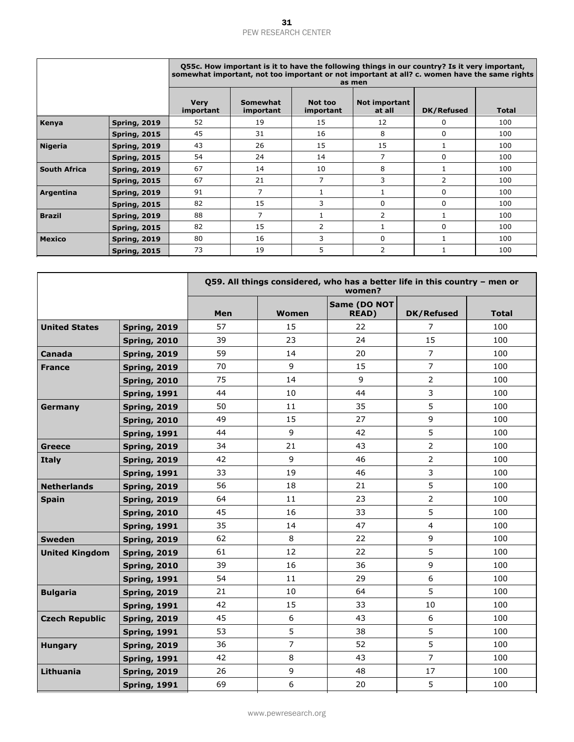|                     |                     | Q55c. How important is it to have the following things in our country? Is it very important,<br>somewhat important, not too important or not important at all? c. women have the same rights<br>as men |                       |                      |                         |                |              |  |  |  |
|---------------------|---------------------|--------------------------------------------------------------------------------------------------------------------------------------------------------------------------------------------------------|-----------------------|----------------------|-------------------------|----------------|--------------|--|--|--|
|                     |                     | <b>Very</b><br>important                                                                                                                                                                               | Somewhat<br>important | Not too<br>important | Not important<br>at all | DK/Refused     | <b>Total</b> |  |  |  |
| Kenya               | <b>Spring, 2019</b> | 52                                                                                                                                                                                                     | 19                    | 15                   | 12                      | $\Omega$       | 100          |  |  |  |
|                     | <b>Spring, 2015</b> | 45                                                                                                                                                                                                     | 31                    | 16                   | 8                       | $\Omega$       | 100          |  |  |  |
| <b>Nigeria</b>      | <b>Spring, 2019</b> | 43                                                                                                                                                                                                     | 26                    | 15                   | 15                      |                | 100          |  |  |  |
|                     | <b>Spring, 2015</b> | 54                                                                                                                                                                                                     | 24                    | 14                   | $\overline{7}$          | $\Omega$       | 100          |  |  |  |
| <b>South Africa</b> | <b>Spring, 2019</b> | 67                                                                                                                                                                                                     | 14                    | 10                   | 8                       |                | 100          |  |  |  |
|                     | <b>Spring, 2015</b> | 67                                                                                                                                                                                                     | 21                    | 7                    | 3                       | $\overline{2}$ | 100          |  |  |  |
| Argentina           | <b>Spring, 2019</b> | 91                                                                                                                                                                                                     | 7                     | $\mathbf{1}$         |                         | $\Omega$       | 100          |  |  |  |
|                     | <b>Spring, 2015</b> | 82                                                                                                                                                                                                     | 15                    | 3                    | $\Omega$                | $\Omega$       | 100          |  |  |  |
| <b>Brazil</b>       | <b>Spring, 2019</b> | 88                                                                                                                                                                                                     | $\overline{7}$        | $\mathbf{1}$         | 2                       |                | 100          |  |  |  |
|                     | <b>Spring, 2015</b> | 82                                                                                                                                                                                                     | 15                    | $\overline{2}$       |                         | $\Omega$       | 100          |  |  |  |
| <b>Mexico</b>       | <b>Spring, 2019</b> | 80                                                                                                                                                                                                     | 16                    | 3                    | $\Omega$                |                | 100          |  |  |  |
|                     | <b>Spring, 2015</b> | 73                                                                                                                                                                                                     | 19                    | 5                    | $\overline{2}$          |                | 100          |  |  |  |

|                       |                     |     |                | Q59. All things considered, who has a better life in this country - men or<br>women? |                   |       |
|-----------------------|---------------------|-----|----------------|--------------------------------------------------------------------------------------|-------------------|-------|
|                       |                     | Men | Women          | Same (DO NOT<br><b>READ)</b>                                                         | <b>DK/Refused</b> | Total |
| <b>United States</b>  | <b>Spring, 2019</b> | 57  | 15             | 22                                                                                   | 7                 | 100   |
|                       | <b>Spring, 2010</b> | 39  | 23             | 24                                                                                   | 15                | 100   |
| Canada                | <b>Spring, 2019</b> | 59  | 14             | 20                                                                                   | $\overline{7}$    | 100   |
| <b>France</b>         | <b>Spring, 2019</b> | 70  | 9              | 15                                                                                   | $\overline{7}$    | 100   |
|                       | <b>Spring, 2010</b> | 75  | 14             | 9                                                                                    | $\overline{2}$    | 100   |
|                       | <b>Spring, 1991</b> | 44  | 10             | 44                                                                                   | 3                 | 100   |
| Germany               | <b>Spring, 2019</b> | 50  | 11             | 35                                                                                   | 5                 | 100   |
|                       | <b>Spring, 2010</b> | 49  | 15             | 27                                                                                   | 9                 | 100   |
|                       | <b>Spring, 1991</b> | 44  | 9              | 42                                                                                   | 5                 | 100   |
| <b>Greece</b>         | <b>Spring, 2019</b> | 34  | 21             | 43                                                                                   | $\overline{2}$    | 100   |
| <b>Italy</b>          | <b>Spring, 2019</b> | 42  | 9              | 46                                                                                   | $\overline{2}$    | 100   |
|                       | <b>Spring, 1991</b> | 33  | 19             | 46                                                                                   | 3                 | 100   |
| <b>Netherlands</b>    | <b>Spring, 2019</b> | 56  | 18             | 21                                                                                   | 5                 | 100   |
| <b>Spain</b>          | <b>Spring, 2019</b> | 64  | 11             | 23                                                                                   | $\overline{2}$    | 100   |
|                       | <b>Spring, 2010</b> | 45  | 16             | 33                                                                                   | 5                 | 100   |
|                       | <b>Spring, 1991</b> | 35  | 14             | 47                                                                                   | 4                 | 100   |
| <b>Sweden</b>         | <b>Spring, 2019</b> | 62  | 8              | 22                                                                                   | 9                 | 100   |
| <b>United Kingdom</b> | <b>Spring, 2019</b> | 61  | 12             | 22                                                                                   | 5                 | 100   |
|                       | <b>Spring, 2010</b> | 39  | 16             | 36                                                                                   | 9                 | 100   |
|                       | <b>Spring, 1991</b> | 54  | 11             | 29                                                                                   | 6                 | 100   |
| <b>Bulgaria</b>       | <b>Spring, 2019</b> | 21  | 10             | 64                                                                                   | 5                 | 100   |
|                       | <b>Spring, 1991</b> | 42  | 15             | 33                                                                                   | 10                | 100   |
| <b>Czech Republic</b> | <b>Spring, 2019</b> | 45  | 6              | 43                                                                                   | 6                 | 100   |
|                       | <b>Spring, 1991</b> | 53  | 5              | 38                                                                                   | 5                 | 100   |
| <b>Hungary</b>        | <b>Spring, 2019</b> | 36  | $\overline{7}$ | 52                                                                                   | 5                 | 100   |
|                       | <b>Spring, 1991</b> | 42  | 8              | 43                                                                                   | $\overline{7}$    | 100   |
| Lithuania             | <b>Spring, 2019</b> | 26  | 9              | 48                                                                                   | 17                | 100   |
|                       | <b>Spring, 1991</b> | 69  | 6              | 20                                                                                   | 5                 | 100   |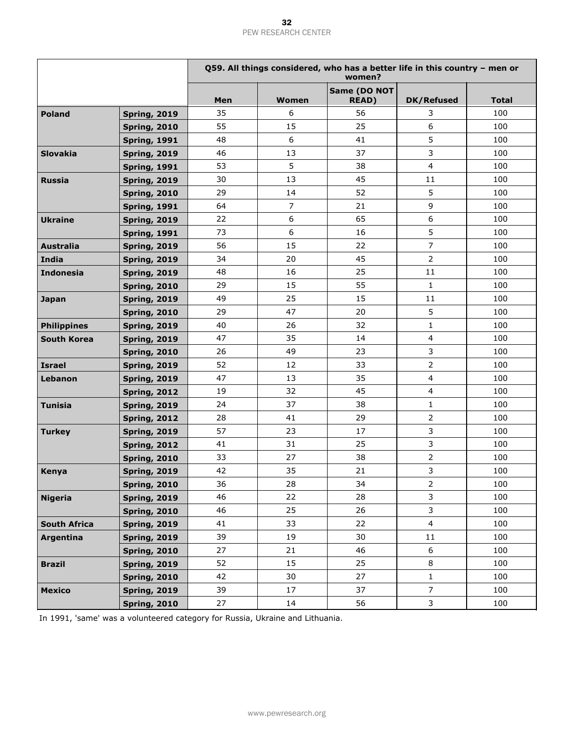|                     |                     |     | Q59. All things considered, who has a better life in this country - men or<br>women? |                              |                   |              |  |  |  |
|---------------------|---------------------|-----|--------------------------------------------------------------------------------------|------------------------------|-------------------|--------------|--|--|--|
|                     |                     | Men | <b>Women</b>                                                                         | Same (DO NOT<br><b>READ)</b> | <b>DK/Refused</b> | <b>Total</b> |  |  |  |
| <b>Poland</b>       | <b>Spring, 2019</b> | 35  | 6                                                                                    | 56                           | 3                 | 100          |  |  |  |
|                     | <b>Spring, 2010</b> | 55  | 15                                                                                   | 25                           | 6                 | 100          |  |  |  |
|                     | <b>Spring, 1991</b> | 48  | 6                                                                                    | 41                           | 5                 | 100          |  |  |  |
| <b>Slovakia</b>     | <b>Spring, 2019</b> | 46  | 13                                                                                   | 37                           | $\mathbf{3}$      | 100          |  |  |  |
|                     | <b>Spring, 1991</b> | 53  | 5                                                                                    | 38                           | $\overline{4}$    | 100          |  |  |  |
| <b>Russia</b>       | <b>Spring, 2019</b> | 30  | 13                                                                                   | 45                           | 11                | 100          |  |  |  |
|                     | <b>Spring, 2010</b> | 29  | 14                                                                                   | 52                           | 5                 | 100          |  |  |  |
|                     | <b>Spring, 1991</b> | 64  | $\overline{7}$                                                                       | 21                           | 9                 | 100          |  |  |  |
| <b>Ukraine</b>      | <b>Spring, 2019</b> | 22  | 6                                                                                    | 65                           | 6                 | 100          |  |  |  |
|                     | <b>Spring, 1991</b> | 73  | 6                                                                                    | 16                           | 5                 | 100          |  |  |  |
| <b>Australia</b>    | <b>Spring, 2019</b> | 56  | 15                                                                                   | 22                           | $\overline{7}$    | 100          |  |  |  |
| India               | <b>Spring, 2019</b> | 34  | 20                                                                                   | 45                           | $\overline{2}$    | 100          |  |  |  |
| <b>Indonesia</b>    | <b>Spring, 2019</b> | 48  | 16                                                                                   | 25                           | 11                | 100          |  |  |  |
|                     | <b>Spring, 2010</b> | 29  | 15                                                                                   | 55                           | $\mathbf{1}$      | 100          |  |  |  |
| Japan               | <b>Spring, 2019</b> | 49  | 25                                                                                   | 15                           | 11                | 100          |  |  |  |
|                     | <b>Spring, 2010</b> | 29  | 47                                                                                   | 20                           | 5                 | 100          |  |  |  |
| <b>Philippines</b>  | <b>Spring, 2019</b> | 40  | 26                                                                                   | 32                           | $\mathbf{1}$      | 100          |  |  |  |
| South Korea         | <b>Spring, 2019</b> | 47  | 35                                                                                   | 14                           | $\overline{4}$    | 100          |  |  |  |
|                     | <b>Spring, 2010</b> | 26  | 49                                                                                   | 23                           | 3                 | 100          |  |  |  |
| <b>Israel</b>       | <b>Spring, 2019</b> | 52  | 12                                                                                   | 33                           | $\overline{2}$    | 100          |  |  |  |
| Lebanon             | <b>Spring, 2019</b> | 47  | 13                                                                                   | 35                           | $\overline{4}$    | 100          |  |  |  |
|                     | <b>Spring, 2012</b> | 19  | 32                                                                                   | 45                           | $\overline{4}$    | 100          |  |  |  |
| <b>Tunisia</b>      | <b>Spring, 2019</b> | 24  | 37                                                                                   | 38                           | $\mathbf{1}$      | 100          |  |  |  |
|                     | <b>Spring, 2012</b> | 28  | 41                                                                                   | 29                           | $\overline{2}$    | 100          |  |  |  |
| <b>Turkey</b>       | <b>Spring, 2019</b> | 57  | 23                                                                                   | 17                           | $\mathbf{3}$      | 100          |  |  |  |
|                     | <b>Spring, 2012</b> | 41  | 31                                                                                   | 25                           | $\mathbf{3}$      | 100          |  |  |  |
|                     | <b>Spring, 2010</b> | 33  | 27                                                                                   | 38                           | $\overline{2}$    | 100          |  |  |  |
| Kenya               | <b>Spring, 2019</b> | 42  | 35                                                                                   | 21                           | $\mathbf{3}$      | 100          |  |  |  |
|                     | <b>Spring, 2010</b> | 36  | 28                                                                                   | 34                           | $\overline{2}$    | 100          |  |  |  |
| <b>Nigeria</b>      | <b>Spring, 2019</b> | 46  | 22                                                                                   | 28                           | 3                 | 100          |  |  |  |
|                     | <b>Spring, 2010</b> | 46  | 25                                                                                   | 26                           | 3                 | 100          |  |  |  |
| <b>South Africa</b> | <b>Spring, 2019</b> | 41  | 33                                                                                   | 22                           | $\overline{4}$    | 100          |  |  |  |
| Argentina           | <b>Spring, 2019</b> | 39  | 19                                                                                   | 30                           | 11                | 100          |  |  |  |
|                     | <b>Spring, 2010</b> | 27  | 21                                                                                   | 46                           | 6                 | 100          |  |  |  |
| <b>Brazil</b>       | <b>Spring, 2019</b> | 52  | 15                                                                                   | 25                           | 8                 | 100          |  |  |  |
|                     | <b>Spring, 2010</b> | 42  | 30                                                                                   | 27                           | $\mathbf{1}$      | 100          |  |  |  |
| <b>Mexico</b>       | <b>Spring, 2019</b> | 39  | 17                                                                                   | 37                           | $\overline{7}$    | 100          |  |  |  |
|                     | <b>Spring, 2010</b> | 27  | 14                                                                                   | 56                           | $\mathbf{3}$      | 100          |  |  |  |

In 1991, 'same' was a volunteered category for Russia, Ukraine and Lithuania.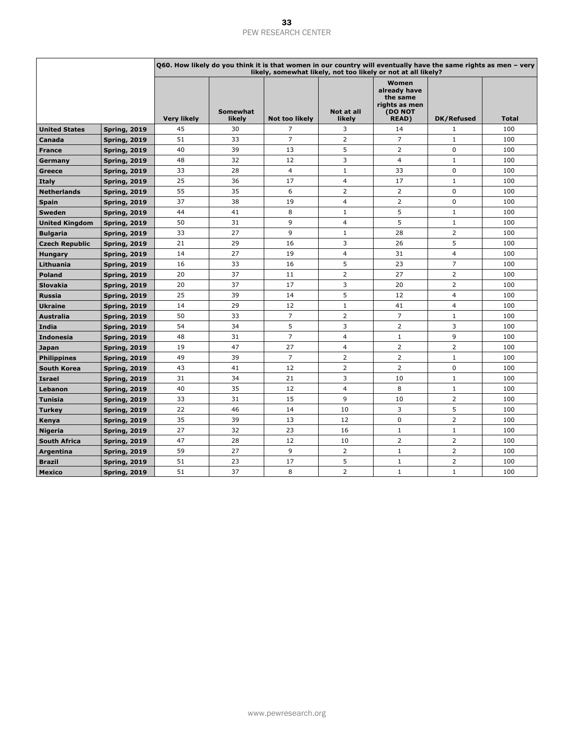|                       |                     |                    |                           | Q60. How likely do you think it is that women in our country will eventually have the same rights as men - very<br>likely, somewhat likely, not too likely or not at all likely? |                         |                                                                                |                |              |
|-----------------------|---------------------|--------------------|---------------------------|----------------------------------------------------------------------------------------------------------------------------------------------------------------------------------|-------------------------|--------------------------------------------------------------------------------|----------------|--------------|
|                       |                     | <b>Very likely</b> | <b>Somewhat</b><br>likely | <b>Not too likely</b>                                                                                                                                                            | Not at all<br>likely    | Women<br>already have<br>the same<br>rights as men<br>(DO NOT<br><b>READ</b> ) | DK/Refused     | <b>Total</b> |
| <b>United States</b>  | <b>Spring, 2019</b> | 45                 | 30                        | 7                                                                                                                                                                                | 3                       | 14                                                                             | 1              | 100          |
| Canada                | <b>Spring, 2019</b> | 51                 | 33                        | $\overline{7}$                                                                                                                                                                   | $\overline{2}$          | $\overline{7}$                                                                 | $\mathbf{1}$   | 100          |
| <b>France</b>         | <b>Spring, 2019</b> | 40                 | 39                        | 13                                                                                                                                                                               | 5                       | 2                                                                              | $\mathbf 0$    | 100          |
| Germany               | <b>Spring, 2019</b> | 48                 | 32                        | 12                                                                                                                                                                               | 3                       | 4                                                                              | $\mathbf{1}$   | 100          |
| Greece                | <b>Spring, 2019</b> | 33                 | 28                        | $\overline{4}$                                                                                                                                                                   | 1                       | 33                                                                             | 0              | 100          |
| <b>Italy</b>          | <b>Spring, 2019</b> | 25                 | 36                        | 17                                                                                                                                                                               | $\overline{4}$          | 17                                                                             | $\mathbf{1}$   | 100          |
| <b>Netherlands</b>    | <b>Spring, 2019</b> | 55                 | 35                        | 6                                                                                                                                                                                | $\overline{2}$          | $\overline{2}$                                                                 | $\Omega$       | 100          |
| <b>Spain</b>          | <b>Spring, 2019</b> | 37                 | 38                        | 19                                                                                                                                                                               | 4                       | 2                                                                              | 0              | 100          |
| <b>Sweden</b>         | <b>Spring, 2019</b> | 44                 | 41                        | 8                                                                                                                                                                                | 1                       | 5                                                                              | $\mathbf{1}$   | 100          |
| <b>United Kingdom</b> | <b>Spring, 2019</b> | 50                 | 31                        | 9                                                                                                                                                                                | $\overline{4}$          | 5                                                                              | $\mathbf{1}$   | 100          |
| <b>Bulgaria</b>       | <b>Spring, 2019</b> | 33                 | 27                        | 9                                                                                                                                                                                | $\mathbf{1}$            | 28                                                                             | $\overline{2}$ | 100          |
| <b>Czech Republic</b> | <b>Spring, 2019</b> | 21                 | 29                        | 16                                                                                                                                                                               | 3                       | 26                                                                             | 5              | 100          |
| <b>Hungary</b>        | <b>Spring, 2019</b> | 14                 | 27                        | 19                                                                                                                                                                               | 4                       | 31                                                                             | $\overline{4}$ | 100          |
| Lithuania             | <b>Spring, 2019</b> | 16                 | 33                        | 16                                                                                                                                                                               | 5                       | 23                                                                             | $\overline{7}$ | 100          |
| <b>Poland</b>         | <b>Spring, 2019</b> | 20                 | 37                        | 11                                                                                                                                                                               | $\overline{2}$          | 27                                                                             | $\overline{2}$ | 100          |
| <b>Slovakia</b>       | <b>Spring, 2019</b> | 20                 | 37                        | 17                                                                                                                                                                               | 3                       | 20                                                                             | $\overline{2}$ | 100          |
| <b>Russia</b>         | <b>Spring, 2019</b> | 25                 | 39                        | 14                                                                                                                                                                               | 5                       | 12                                                                             | $\overline{4}$ | 100          |
| <b>Ukraine</b>        | <b>Spring, 2019</b> | 14                 | 29                        | 12                                                                                                                                                                               | $\mathbf{1}$            | 41                                                                             | $\overline{4}$ | 100          |
| <b>Australia</b>      | <b>Spring, 2019</b> | 50                 | 33                        | $\overline{7}$                                                                                                                                                                   | $\overline{2}$          | $\overline{7}$                                                                 | 1              | 100          |
| India                 | <b>Spring, 2019</b> | 54                 | 34                        | 5                                                                                                                                                                                | 3                       | 2                                                                              | 3              | 100          |
| <b>Indonesia</b>      | <b>Spring, 2019</b> | 48                 | 31                        | $\overline{7}$                                                                                                                                                                   | $\overline{4}$          | $\mathbf{1}$                                                                   | 9              | 100          |
| Japan                 | <b>Spring, 2019</b> | 19                 | 47                        | 27                                                                                                                                                                               | 4                       | 2                                                                              | $\overline{2}$ | 100          |
| <b>Philippines</b>    | <b>Spring, 2019</b> | 49                 | 39                        | $\overline{7}$                                                                                                                                                                   | $\overline{2}$          | 2                                                                              | $\mathbf{1}$   | 100          |
| South Korea           | <b>Spring, 2019</b> | 43                 | 41                        | 12                                                                                                                                                                               | $\overline{2}$          | $\overline{2}$                                                                 | $\mathbf 0$    | 100          |
| <b>Israel</b>         | <b>Spring, 2019</b> | 31                 | 34                        | 21                                                                                                                                                                               | 3                       | 10                                                                             | 1              | 100          |
| Lebanon               | <b>Spring, 2019</b> | 40                 | 35                        | 12                                                                                                                                                                               | $\overline{\mathbf{4}}$ | 8                                                                              | $\mathbf{1}$   | 100          |
| <b>Tunisia</b>        | <b>Spring, 2019</b> | 33                 | 31                        | 15                                                                                                                                                                               | 9                       | 10                                                                             | $\overline{2}$ | 100          |
| <b>Turkey</b>         | <b>Spring, 2019</b> | 22                 | 46                        | 14                                                                                                                                                                               | 10                      | 3                                                                              | 5              | 100          |
| Kenya                 | <b>Spring, 2019</b> | 35                 | 39                        | 13                                                                                                                                                                               | 12                      | $\mathbf 0$                                                                    | $\overline{2}$ | 100          |
| <b>Nigeria</b>        | <b>Spring, 2019</b> | 27                 | 32                        | 23                                                                                                                                                                               | 16                      | $\mathbf{1}$                                                                   | $\mathbf{1}$   | 100          |
| <b>South Africa</b>   | <b>Spring, 2019</b> | 47                 | 28                        | 12                                                                                                                                                                               | 10                      | $\overline{2}$                                                                 | $\overline{2}$ | 100          |
| Argentina             | <b>Spring, 2019</b> | 59                 | 27                        | 9                                                                                                                                                                                | $\overline{2}$          | $\mathbf{1}$                                                                   | $\overline{2}$ | 100          |
| <b>Brazil</b>         | <b>Spring, 2019</b> | 51                 | 23                        | 17                                                                                                                                                                               | 5                       | $\mathbf{1}$                                                                   | $\overline{2}$ | 100          |
| <b>Mexico</b>         | <b>Spring, 2019</b> | 51                 | 37                        | 8                                                                                                                                                                                | $\overline{2}$          | $\mathbf{1}$                                                                   | $\mathbf{1}$   | 100          |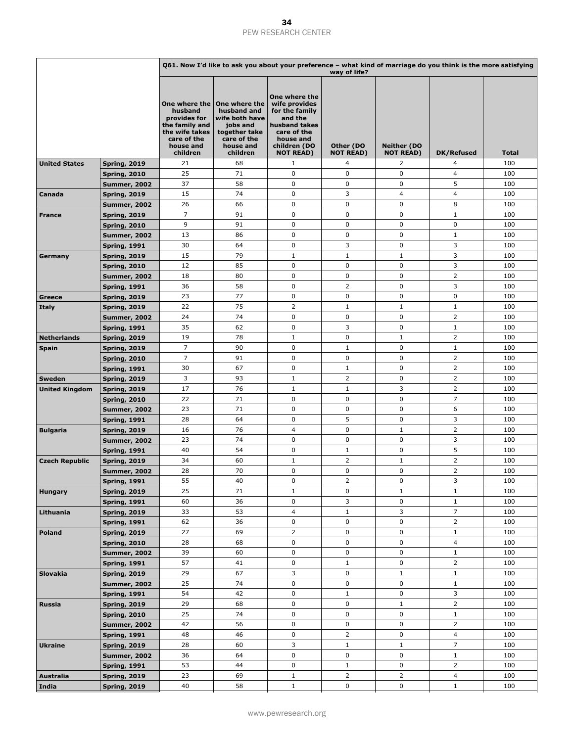|                       |                     |                                                                                                                      |                                                                                                                     |                                                                                                                                              | Q61. Now I'd like to ask you about your preference – what kind of marriage do you think is the more satisfying<br>way of life? |                                        |                |              |  |  |  |  |  |
|-----------------------|---------------------|----------------------------------------------------------------------------------------------------------------------|---------------------------------------------------------------------------------------------------------------------|----------------------------------------------------------------------------------------------------------------------------------------------|--------------------------------------------------------------------------------------------------------------------------------|----------------------------------------|----------------|--------------|--|--|--|--|--|
|                       |                     | One where the<br>husband<br>provides for<br>the family and<br>the wife takes<br>care of the<br>house and<br>children | One where the<br>husband and<br>wife both have<br>jobs and<br>together take<br>care of the<br>house and<br>children | One where the<br>wife provides<br>for the family<br>and the<br>husband takes<br>care of the<br>house and<br>children (DO<br><b>NOT READ)</b> | Other (DO<br><b>NOT READ)</b>                                                                                                  | <b>Neither (DO</b><br><b>NOT READ)</b> | DK/Refused     | <b>Total</b> |  |  |  |  |  |
| <b>United States</b>  | <b>Spring, 2019</b> | 21                                                                                                                   | 68                                                                                                                  | $\mathbf{1}$                                                                                                                                 | 4                                                                                                                              | 2                                      | 4              | 100          |  |  |  |  |  |
|                       | <b>Spring, 2010</b> | 25                                                                                                                   | 71                                                                                                                  | $\mathbf 0$                                                                                                                                  | 0                                                                                                                              | $\mathbf 0$                            | 4              | 100          |  |  |  |  |  |
|                       | <b>Summer, 2002</b> | 37                                                                                                                   | 58                                                                                                                  | 0                                                                                                                                            | 0                                                                                                                              | 0                                      | 5              | 100          |  |  |  |  |  |
| Canada                | <b>Spring, 2019</b> | 15                                                                                                                   | 74                                                                                                                  | 0                                                                                                                                            | 3                                                                                                                              | $\overline{4}$                         | 4              | 100          |  |  |  |  |  |
|                       | <b>Summer, 2002</b> | 26                                                                                                                   | 66                                                                                                                  | 0                                                                                                                                            | 0                                                                                                                              | 0                                      | 8              | 100          |  |  |  |  |  |
|                       |                     | $\overline{7}$                                                                                                       | 91                                                                                                                  | 0                                                                                                                                            | $\pmb{0}$                                                                                                                      | $\pmb{0}$                              | $1\,$          | 100          |  |  |  |  |  |
| <b>France</b>         | <b>Spring, 2019</b> | 9                                                                                                                    | 91                                                                                                                  | 0                                                                                                                                            | 0                                                                                                                              | 0                                      | 0              | 100          |  |  |  |  |  |
|                       | <b>Spring, 2010</b> | 13                                                                                                                   | 86                                                                                                                  | 0                                                                                                                                            | 0                                                                                                                              | 0                                      | $\mathbf{1}$   | 100          |  |  |  |  |  |
|                       | <b>Summer, 2002</b> |                                                                                                                      |                                                                                                                     |                                                                                                                                              |                                                                                                                                |                                        |                |              |  |  |  |  |  |
|                       | <b>Spring, 1991</b> | 30                                                                                                                   | 64                                                                                                                  | 0                                                                                                                                            | 3                                                                                                                              | 0                                      | 3              | 100          |  |  |  |  |  |
| Germany               | <b>Spring, 2019</b> | 15                                                                                                                   | 79                                                                                                                  | 1                                                                                                                                            | $\mathbf{1}$                                                                                                                   | $\mathbf{1}$                           | 3              | 100          |  |  |  |  |  |
|                       | <b>Spring, 2010</b> | 12                                                                                                                   | 85                                                                                                                  | 0                                                                                                                                            | 0                                                                                                                              | 0                                      | 3              | 100          |  |  |  |  |  |
|                       | <b>Summer, 2002</b> | 18                                                                                                                   | 80                                                                                                                  | 0                                                                                                                                            | 0                                                                                                                              | 0                                      | $\overline{2}$ | 100          |  |  |  |  |  |
|                       | <b>Spring, 1991</b> | 36                                                                                                                   | 58                                                                                                                  | $\mathbf 0$                                                                                                                                  | $\overline{2}$                                                                                                                 | $\pmb{0}$                              | 3              | 100          |  |  |  |  |  |
| Greece                | <b>Spring, 2019</b> | 23                                                                                                                   | 77                                                                                                                  | 0                                                                                                                                            | 0                                                                                                                              | 0                                      | 0              | 100          |  |  |  |  |  |
| Italy                 | <b>Spring, 2019</b> | 22                                                                                                                   | 75                                                                                                                  | $\overline{2}$                                                                                                                               | $\mathbf{1}$                                                                                                                   | $\mathbf{1}$                           | $1\,$          | 100          |  |  |  |  |  |
|                       | <b>Summer, 2002</b> | 24                                                                                                                   | 74                                                                                                                  | 0                                                                                                                                            | 0                                                                                                                              | $\pmb{0}$                              | $\overline{2}$ | 100          |  |  |  |  |  |
|                       | <b>Spring, 1991</b> | 35                                                                                                                   | 62                                                                                                                  | 0                                                                                                                                            | 3                                                                                                                              | 0                                      | $\mathbf{1}$   | 100          |  |  |  |  |  |
| <b>Netherlands</b>    | <b>Spring, 2019</b> | 19                                                                                                                   | 78                                                                                                                  | $\mathbf{1}$                                                                                                                                 | 0                                                                                                                              | $\mathbf{1}$                           | $\overline{2}$ | 100          |  |  |  |  |  |
| <b>Spain</b>          | <b>Spring, 2019</b> | $\overline{7}$                                                                                                       | 90                                                                                                                  | $\mathbf 0$                                                                                                                                  | $\mathbf{1}$                                                                                                                   | 0                                      | $1\,$          | 100          |  |  |  |  |  |
|                       | <b>Spring, 2010</b> | $\overline{7}$                                                                                                       | 91                                                                                                                  | 0                                                                                                                                            | 0                                                                                                                              | 0                                      | $\overline{2}$ | 100          |  |  |  |  |  |
|                       | <b>Spring, 1991</b> | 30                                                                                                                   | 67                                                                                                                  | 0                                                                                                                                            | $\mathbf{1}$                                                                                                                   | 0                                      | $\overline{2}$ | 100          |  |  |  |  |  |
| Sweden                | <b>Spring, 2019</b> | 3                                                                                                                    | 93                                                                                                                  | 1                                                                                                                                            | $\overline{2}$                                                                                                                 | 0                                      | $\overline{2}$ | 100          |  |  |  |  |  |
| <b>United Kingdom</b> | <b>Spring, 2019</b> | 17                                                                                                                   | 76                                                                                                                  | $\mathbf{1}$                                                                                                                                 | $\mathbf{1}$                                                                                                                   | 3                                      | $\overline{2}$ | 100          |  |  |  |  |  |
|                       | <b>Spring, 2010</b> | 22                                                                                                                   | 71                                                                                                                  | 0                                                                                                                                            | 0                                                                                                                              | 0                                      | $\overline{7}$ | 100          |  |  |  |  |  |
|                       | <b>Summer, 2002</b> | 23                                                                                                                   | 71                                                                                                                  | 0                                                                                                                                            | 0                                                                                                                              | $\pmb{0}$                              | 6              | 100          |  |  |  |  |  |
|                       | <b>Spring, 1991</b> | 28                                                                                                                   | 64                                                                                                                  | 0                                                                                                                                            | 5                                                                                                                              | $\mathbf 0$                            | 3              | 100          |  |  |  |  |  |
| <b>Bulgaria</b>       | <b>Spring, 2019</b> | 16                                                                                                                   | 76                                                                                                                  | 4                                                                                                                                            | 0                                                                                                                              | $\mathbf{1}$                           | $\overline{2}$ | 100          |  |  |  |  |  |
|                       | <b>Summer, 2002</b> | 23                                                                                                                   | 74                                                                                                                  | 0                                                                                                                                            | 0                                                                                                                              | $\pmb{0}$                              | 3              | 100          |  |  |  |  |  |
|                       | <b>Spring, 1991</b> | 40                                                                                                                   | 54                                                                                                                  | 0                                                                                                                                            | $\mathbf{1}$                                                                                                                   | $\mathbf 0$                            | 5              | 100          |  |  |  |  |  |
| <b>Czech Republic</b> | <b>Spring, 2019</b> | 34                                                                                                                   | 60                                                                                                                  | $\mathbf{1}$                                                                                                                                 | $\overline{2}$                                                                                                                 | $\mathbf{1}$                           | $\overline{2}$ | 100          |  |  |  |  |  |
|                       | <b>Summer, 2002</b> | 28                                                                                                                   | 70                                                                                                                  | 0                                                                                                                                            | 0                                                                                                                              | 0                                      | $\overline{2}$ | 100          |  |  |  |  |  |
|                       | <b>Spring, 1991</b> | 55                                                                                                                   | 40                                                                                                                  | 0                                                                                                                                            | $\overline{2}$                                                                                                                 | 0                                      | 3              | 100          |  |  |  |  |  |
| <b>Hungary</b>        | <b>Spring, 2019</b> | 25                                                                                                                   | 71                                                                                                                  | $\mathbf{1}$                                                                                                                                 | 0                                                                                                                              | $\mathbf{1}$                           | $\mathbf 1$    | 100          |  |  |  |  |  |
|                       | <b>Spring, 1991</b> | 60                                                                                                                   | 36                                                                                                                  | 0                                                                                                                                            | 3                                                                                                                              | 0                                      | $1\,$          | 100          |  |  |  |  |  |
| Lithuania             | <b>Spring, 2019</b> | 33                                                                                                                   | 53                                                                                                                  | 4                                                                                                                                            | $\mathbf{1}$                                                                                                                   | 3                                      | $\overline{7}$ | 100          |  |  |  |  |  |
|                       | <b>Spring, 1991</b> | 62                                                                                                                   | 36                                                                                                                  | 0                                                                                                                                            | 0                                                                                                                              | 0                                      | $\overline{2}$ | 100          |  |  |  |  |  |
| <b>Poland</b>         | <b>Spring, 2019</b> | 27                                                                                                                   | 69                                                                                                                  | $\overline{2}$                                                                                                                               | 0                                                                                                                              | $\pmb{0}$                              | $\,1\,$        | 100          |  |  |  |  |  |
|                       | <b>Spring, 2010</b> | 28                                                                                                                   | 68                                                                                                                  | 0                                                                                                                                            | 0                                                                                                                              | 0                                      | 4              | 100          |  |  |  |  |  |
|                       | <b>Summer, 2002</b> | 39                                                                                                                   | 60                                                                                                                  | 0                                                                                                                                            | 0                                                                                                                              | 0                                      | $\mathbf{1}$   | 100          |  |  |  |  |  |
|                       | <b>Spring, 1991</b> | 57                                                                                                                   | 41                                                                                                                  | 0                                                                                                                                            | $\mathbf{1}$                                                                                                                   | $\pmb{0}$                              | $\overline{2}$ | 100          |  |  |  |  |  |
| Slovakia              | <b>Spring, 2019</b> | 29                                                                                                                   | 67                                                                                                                  | 3                                                                                                                                            | 0                                                                                                                              | $\mathbf{1}$                           | $\mathbf{1}$   | 100          |  |  |  |  |  |
|                       | <b>Summer, 2002</b> | 25                                                                                                                   | 74                                                                                                                  | 0                                                                                                                                            | 0                                                                                                                              | $\pmb{0}$                              | $\,1\,$        | 100          |  |  |  |  |  |
|                       | <b>Spring, 1991</b> | 54                                                                                                                   | 42                                                                                                                  | 0                                                                                                                                            | $\mathbf{1}$                                                                                                                   | $\pmb{0}$                              | 3              | 100          |  |  |  |  |  |
| Russia                | <b>Spring, 2019</b> | 29                                                                                                                   | 68                                                                                                                  | 0                                                                                                                                            | 0                                                                                                                              | $\mathbf{1}$                           | $\overline{2}$ | 100          |  |  |  |  |  |
|                       | <b>Spring, 2010</b> | 25                                                                                                                   | 74                                                                                                                  | 0                                                                                                                                            | 0                                                                                                                              | $\pmb{0}$                              | $1\,$          | 100          |  |  |  |  |  |
|                       | <b>Summer, 2002</b> | 42                                                                                                                   | 56                                                                                                                  | 0                                                                                                                                            | 0                                                                                                                              | 0                                      | $\overline{2}$ | 100          |  |  |  |  |  |
|                       |                     | 48                                                                                                                   | 46                                                                                                                  | 0                                                                                                                                            | $\overline{2}$                                                                                                                 | $\pmb{0}$                              | 4              | 100          |  |  |  |  |  |
|                       | <b>Spring, 1991</b> | 28                                                                                                                   | 60                                                                                                                  | 3                                                                                                                                            | $\mathbf{1}$                                                                                                                   | $\mathbf{1}$                           | $\overline{7}$ | 100          |  |  |  |  |  |
| <b>Ukraine</b>        | <b>Spring, 2019</b> | 36                                                                                                                   | 64                                                                                                                  | 0                                                                                                                                            | 0                                                                                                                              | 0                                      | $\mathbf{1}$   | 100          |  |  |  |  |  |
|                       | <b>Summer, 2002</b> | 53                                                                                                                   | 44                                                                                                                  | 0                                                                                                                                            | $\mathbf{1}$                                                                                                                   | 0                                      | $\overline{2}$ | 100          |  |  |  |  |  |
|                       | <b>Spring, 1991</b> |                                                                                                                      |                                                                                                                     |                                                                                                                                              |                                                                                                                                |                                        |                |              |  |  |  |  |  |
| Australia             | <b>Spring, 2019</b> | 23                                                                                                                   | 69                                                                                                                  | $\mathbf{1}$                                                                                                                                 | $\overline{2}$                                                                                                                 | 2                                      | 4              | 100          |  |  |  |  |  |
| India                 | <b>Spring, 2019</b> | 40                                                                                                                   | 58                                                                                                                  | $\mathbf{1}$                                                                                                                                 | 0                                                                                                                              | $\mathbf 0$                            | $\mathbf{1}$   | 100          |  |  |  |  |  |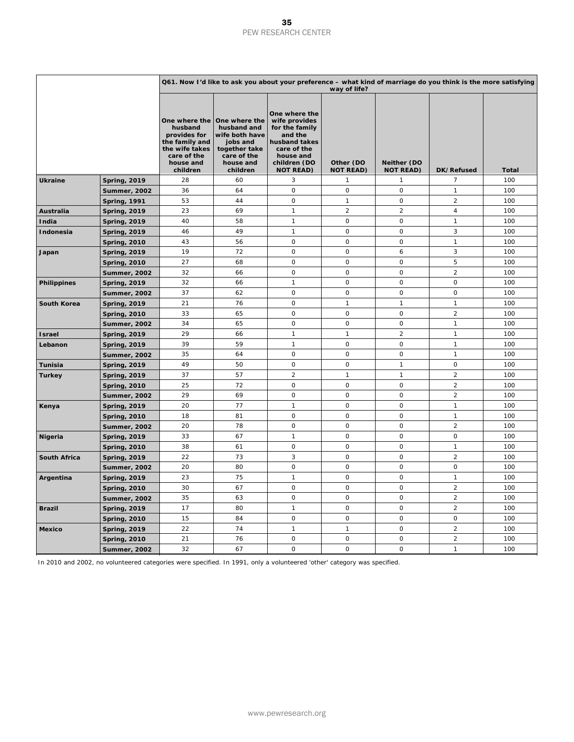|                     |                     |                                                                                                     | Q61. Now I'd like to ask you about your preference - what kind of marriage do you think is the more satisfying<br>way of life?    |                                                                                                                                              |                               |                                 |                     |              |  |  |  |
|---------------------|---------------------|-----------------------------------------------------------------------------------------------------|-----------------------------------------------------------------------------------------------------------------------------------|----------------------------------------------------------------------------------------------------------------------------------------------|-------------------------------|---------------------------------|---------------------|--------------|--|--|--|
|                     |                     | husband<br>provides for<br>the family and<br>the wife takes<br>care of the<br>house and<br>children | One where the One where the<br>husband and<br>wife both have<br>jobs and<br>together take<br>care of the<br>house and<br>children | One where the<br>wife provides<br>for the family<br>and the<br>husband takes<br>care of the<br>house and<br>children (DO<br><b>NOT READ)</b> | Other (DO<br><b>NOT READ)</b> | Neither (DO<br><b>NOT READ)</b> | DK/Refused          | <b>Total</b> |  |  |  |
| <b>Ukraine</b>      | <b>Spring, 2019</b> | 28                                                                                                  | 60                                                                                                                                | 3                                                                                                                                            | $\mathbf{1}$                  | $\mathbf{1}$                    | 7                   | 100          |  |  |  |
|                     | <b>Summer, 2002</b> | 36                                                                                                  | 64                                                                                                                                | 0                                                                                                                                            | $\mathsf O$                   | $\circ$                         | $\mathbf{1}$        | 100          |  |  |  |
|                     | <b>Spring, 1991</b> | 53                                                                                                  | 44                                                                                                                                | $\mathbf 0$                                                                                                                                  | $\mathbf{1}$                  | $\circ$                         | $\overline{2}$      | 100          |  |  |  |
| Australia           | <b>Spring, 2019</b> | 23                                                                                                  | 69                                                                                                                                | $\mathbf{1}$                                                                                                                                 | $\overline{2}$                | $\overline{c}$                  | $\overline{4}$      | 100          |  |  |  |
| India               | <b>Spring, 2019</b> | 40                                                                                                  | 58                                                                                                                                | $\mathbf{1}$                                                                                                                                 | $\mathbf 0$                   | $\mathbf 0$                     | $\mathbf{1}$        | 100          |  |  |  |
| Indonesia           | <b>Spring, 2019</b> | 46                                                                                                  | 49                                                                                                                                | $\mathbf{1}$                                                                                                                                 | $\mathsf O$                   | $\mathbf 0$                     | 3                   | 100          |  |  |  |
|                     | <b>Spring, 2010</b> | 43                                                                                                  | 56                                                                                                                                | $\mathbf 0$                                                                                                                                  | $\mathbf 0$                   | $\mathbf 0$                     | $\mathbf{1}$        | 100          |  |  |  |
| Japan               | <b>Spring, 2019</b> | 19                                                                                                  | 72                                                                                                                                | 0                                                                                                                                            | $\mathsf O$                   | 6                               | 3                   | 100          |  |  |  |
|                     | <b>Spring, 2010</b> | 27                                                                                                  | 68                                                                                                                                | 0                                                                                                                                            | $\circ$                       | $\circ$                         | 5                   | 100          |  |  |  |
|                     | <b>Summer, 2002</b> | 32                                                                                                  | 66                                                                                                                                | 0                                                                                                                                            | $\mathsf O$                   | $\circ$                         | $\boldsymbol{2}$    | 100          |  |  |  |
| <b>Philippines</b>  | <b>Spring, 2019</b> | 32                                                                                                  | 66                                                                                                                                | $\mathbf{1}$                                                                                                                                 | $\mathbf 0$                   | $\overline{O}$                  | $\mathsf{O}$        | 100          |  |  |  |
|                     | <b>Summer, 2002</b> | 37                                                                                                  | 62                                                                                                                                | $\mathbf 0$                                                                                                                                  | $\mathbf 0$                   | $\circ$                         | $\mathbf 0$         | 100          |  |  |  |
| <b>South Korea</b>  | <b>Spring, 2019</b> | 21                                                                                                  | 76                                                                                                                                | 0                                                                                                                                            | $\mathbf{1}$                  | $\mathbf{1}$                    | $\mathbf{1}$        | 100          |  |  |  |
|                     | <b>Spring, 2010</b> | 33                                                                                                  | 65                                                                                                                                | 0                                                                                                                                            | $\circ$                       | $\circ$                         | $\overline{2}$      | 100          |  |  |  |
|                     | Summer, 2002        | 34                                                                                                  | 65                                                                                                                                | $\mathbf 0$                                                                                                                                  | $\mathbf 0$                   | $\circ$                         | $\mathbf{1}$        | 100          |  |  |  |
| <b>Israel</b>       | <b>Spring, 2019</b> | 29                                                                                                  | 66                                                                                                                                | $\mathbf{1}$                                                                                                                                 | $\mathbf{1}$                  | $\overline{2}$                  | $\mathbf{1}$        | 100          |  |  |  |
| Lebanon             | <b>Spring, 2019</b> | 39                                                                                                  | 59                                                                                                                                | $\mathbf{1}$                                                                                                                                 | $\mathbf 0$                   | $\circ$                         | $\mathbf{1}$        | 100          |  |  |  |
|                     | <b>Summer, 2002</b> | 35                                                                                                  | 64                                                                                                                                | $\mathsf O$                                                                                                                                  | $\mathsf O$                   | $\mathbf 0$                     | $\mathbf{1}$        | 100          |  |  |  |
| Tunisia             | <b>Spring, 2019</b> | 49                                                                                                  | 50                                                                                                                                | 0                                                                                                                                            | $\circ$                       | $\mathbf{1}$                    | $\mathsf{O}$        | 100          |  |  |  |
| <b>Turkey</b>       | <b>Spring, 2019</b> | 37                                                                                                  | 57                                                                                                                                | $\overline{c}$                                                                                                                               | $\mathbf{1}$                  | $\mathbf{1}$                    | $\overline{c}$      | 100          |  |  |  |
|                     | <b>Spring, 2010</b> | 25                                                                                                  | 72                                                                                                                                | $\mathbf 0$                                                                                                                                  | $\mathbf 0$                   | $\circ$                         | $\overline{2}$      | 100          |  |  |  |
|                     | Summer, 2002        | 29                                                                                                  | 69                                                                                                                                | 0                                                                                                                                            | $\mathsf O$                   | $\circ$                         | $\sqrt{2}$          | 100          |  |  |  |
| Kenya               | <b>Spring, 2019</b> | 20                                                                                                  | 77                                                                                                                                | $\mathbf{1}$                                                                                                                                 | $\mathbf 0$                   | $\mathbf 0$                     | $\mathbf{1}$        | 100          |  |  |  |
|                     | <b>Spring, 2010</b> | 18                                                                                                  | 81                                                                                                                                | $\mathbf 0$                                                                                                                                  | $\mathbf 0$                   | $\circ$                         | $\mathbf{1}$        | 100          |  |  |  |
|                     | Summer, 2002        | 20                                                                                                  | 78                                                                                                                                | $\mathsf O$                                                                                                                                  | $\mathsf O$                   | $\mathbf 0$                     | $\overline{2}$      | 100          |  |  |  |
| Nigeria             | <b>Spring, 2019</b> | 33                                                                                                  | 67                                                                                                                                | $\mathbf{1}$                                                                                                                                 | $\mathsf O$                   | $\circ$                         | $\mathsf O$         | 100          |  |  |  |
|                     | <b>Spring, 2010</b> | 38                                                                                                  | 61                                                                                                                                | $\mathsf O$                                                                                                                                  | $\mathsf O$                   | $\mathbf 0$                     | $\mathbf{1}$        | 100          |  |  |  |
| <b>South Africa</b> | <b>Spring, 2019</b> | 22                                                                                                  | 73                                                                                                                                | 3                                                                                                                                            | $\mathsf O$                   | $\circ$                         | $\overline{2}$      | 100          |  |  |  |
|                     | <b>Summer, 2002</b> | 20                                                                                                  | 80                                                                                                                                | $\mathsf O$                                                                                                                                  | $\mathbf 0$                   | $\mathbf 0$                     | $\mathsf O$         | 100          |  |  |  |
| Argentina           | <b>Spring, 2019</b> | 23                                                                                                  | 75                                                                                                                                | $\mathbf{1}$                                                                                                                                 | $\mathsf O$                   | $\mathbf 0$                     | $\mathbf{1}$        | 100          |  |  |  |
|                     | <b>Spring, 2010</b> | 30                                                                                                  | 67                                                                                                                                | $\mathbf 0$                                                                                                                                  | $\mathbf 0$                   | $\mathbf 0$                     | $\overline{2}$      | 100          |  |  |  |
|                     | <b>Summer, 2002</b> | 35                                                                                                  | 63                                                                                                                                | $\mathsf O$                                                                                                                                  | $\circ$                       | $\circ$                         | $\overline{2}$      | 100          |  |  |  |
| <b>Brazil</b>       | <b>Spring, 2019</b> | 17                                                                                                  | 80                                                                                                                                | $\mathbf{1}$                                                                                                                                 | $\circ$                       | $\circ$                         | $\overline{2}$      | 100          |  |  |  |
|                     | <b>Spring, 2010</b> | 15                                                                                                  | 84                                                                                                                                | $\mathsf O$                                                                                                                                  | $\mathsf O$                   | $\circ$                         | $\mathsf{O}\xspace$ | 100          |  |  |  |
| <b>Mexico</b>       | <b>Spring, 2019</b> | 22                                                                                                  | 74                                                                                                                                | $\mathbf{1}$                                                                                                                                 | $\mathbf{1}$                  | $\mathbf 0$                     | $\overline{2}$      | 100          |  |  |  |
|                     | Spring, 2010        | 21                                                                                                  | 76                                                                                                                                | $\mathsf O$                                                                                                                                  | $\Omega$                      | $\Omega$                        | $\overline{2}$      | 100          |  |  |  |
|                     | <b>Summer, 2002</b> | 32                                                                                                  | 67                                                                                                                                | $\mathbf 0$                                                                                                                                  | $\circ$                       | $\mathbf 0$                     | $\mathbf{1}$        | 100          |  |  |  |

In 2010 and 2002, no volunteered categories were specified. In 1991, only a volunteered 'other' category was specified.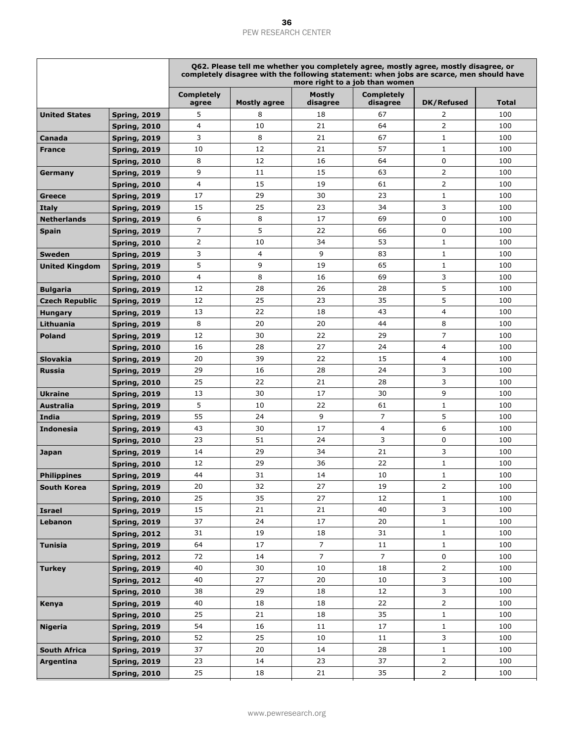|                       |                     |                            |                     |                           | Q62. Please tell me whether you completely agree, mostly agree, mostly disagree, or<br>completely disagree with the following statement: when jobs are scarce, men should have<br>more right to a job than women |                |              |
|-----------------------|---------------------|----------------------------|---------------------|---------------------------|------------------------------------------------------------------------------------------------------------------------------------------------------------------------------------------------------------------|----------------|--------------|
|                       |                     | <b>Completely</b><br>agree | <b>Mostly agree</b> | <b>Mostly</b><br>disagree | <b>Completely</b><br>disagree                                                                                                                                                                                    | DK/Refused     | <b>Total</b> |
| <b>United States</b>  | <b>Spring, 2019</b> | 5                          | 8                   | 18                        | 67                                                                                                                                                                                                               | 2              | 100          |
|                       | <b>Spring, 2010</b> | 4                          | 10                  | 21                        | 64                                                                                                                                                                                                               | 2              | 100          |
| Canada                | <b>Spring, 2019</b> | 3                          | 8                   | 21                        | 67                                                                                                                                                                                                               | $\mathbf 1$    | 100          |
| <b>France</b>         | <b>Spring, 2019</b> | 10                         | 12                  | 21                        | 57                                                                                                                                                                                                               | $1\,$          | 100          |
|                       | <b>Spring, 2010</b> | 8                          | 12                  | 16                        | 64                                                                                                                                                                                                               | $\mathbf 0$    | 100          |
| Germany               | <b>Spring, 2019</b> | 9                          | 11                  | 15                        | 63                                                                                                                                                                                                               | $\overline{2}$ | 100          |
|                       | <b>Spring, 2010</b> | 4                          | 15                  | 19                        | 61                                                                                                                                                                                                               | $\overline{2}$ | 100          |
| Greece                | <b>Spring, 2019</b> | 17                         | 29                  | 30                        | 23                                                                                                                                                                                                               | $\mathbf{1}$   | 100          |
| Italy                 | <b>Spring, 2019</b> | 15                         | 25                  | 23                        | 34                                                                                                                                                                                                               | 3              | 100          |
| <b>Netherlands</b>    | <b>Spring, 2019</b> | 6                          | 8                   | 17                        | 69                                                                                                                                                                                                               | 0              | 100          |
| Spain                 | <b>Spring, 2019</b> | 7                          | 5                   | 22                        | 66                                                                                                                                                                                                               | $\mathbf 0$    | 100          |
|                       | <b>Spring, 2010</b> | 2                          | 10                  | 34                        | 53                                                                                                                                                                                                               | $\mathbf 1$    | 100          |
| <b>Sweden</b>         | <b>Spring, 2019</b> | 3                          | $\overline{4}$      | 9                         | 83                                                                                                                                                                                                               | $1\,$          | 100          |
| <b>United Kingdom</b> | <b>Spring, 2019</b> | 5                          | 9                   | 19                        | 65                                                                                                                                                                                                               | $\mathbf{1}$   | 100          |
|                       | <b>Spring, 2010</b> | 4                          | 8                   | 16                        | 69                                                                                                                                                                                                               | 3              | 100          |
| <b>Bulgaria</b>       | <b>Spring, 2019</b> | 12                         | 28                  | 26                        | 28                                                                                                                                                                                                               | 5              | 100          |
| <b>Czech Republic</b> | <b>Spring, 2019</b> | 12                         | 25                  | 23                        | 35                                                                                                                                                                                                               | 5              | 100          |
| <b>Hungary</b>        | <b>Spring, 2019</b> | 13                         | 22                  | 18                        | 43                                                                                                                                                                                                               | 4              | 100          |
| Lithuania             | <b>Spring, 2019</b> | 8                          | 20                  | 20                        | 44                                                                                                                                                                                                               | 8              | 100          |
| <b>Poland</b>         | <b>Spring, 2019</b> | 12                         | 30                  | 22                        | 29                                                                                                                                                                                                               | 7              | 100          |
|                       | <b>Spring, 2010</b> | 16                         | 28                  | 27                        | 24                                                                                                                                                                                                               | 4              | 100          |
| Slovakia              | <b>Spring, 2019</b> | 20                         | 39                  | 22                        | 15                                                                                                                                                                                                               | 4              | 100          |
| <b>Russia</b>         | <b>Spring, 2019</b> | 29                         | 16                  | 28                        | 24                                                                                                                                                                                                               | 3              | 100          |
|                       | <b>Spring, 2010</b> | 25                         | 22                  | 21                        | 28                                                                                                                                                                                                               | 3              | 100          |
| <b>Ukraine</b>        | <b>Spring, 2019</b> | 13                         | 30                  | 17                        | 30                                                                                                                                                                                                               | 9              | 100          |
| <b>Australia</b>      | <b>Spring, 2019</b> | 5                          | 10                  | 22                        | 61                                                                                                                                                                                                               | $1\,$          | 100          |
| India                 | <b>Spring, 2019</b> | 55                         | 24                  | 9                         | $\overline{7}$                                                                                                                                                                                                   | 5              | 100          |
| <b>Indonesia</b>      | <b>Spring, 2019</b> | 43                         | 30                  | 17                        | 4                                                                                                                                                                                                                | 6              | 100          |
|                       | <b>Spring, 2010</b> | 23                         | 51                  | 24                        | 3                                                                                                                                                                                                                | 0              | 100          |
| Japan                 | <b>Spring, 2019</b> | 14                         | 29                  | 34                        | 21                                                                                                                                                                                                               | 3              | 100          |
|                       | <b>Spring, 2010</b> | 12                         | 29                  | 36                        | 22                                                                                                                                                                                                               | $1\,$          | 100          |
| <b>Philippines</b>    | <b>Spring, 2019</b> | 44                         | 31                  | 14                        | 10                                                                                                                                                                                                               | $\mathbf{1}$   | 100          |
| <b>South Korea</b>    | <b>Spring, 2019</b> | 20                         | 32                  | 27                        | 19                                                                                                                                                                                                               | $\overline{2}$ | 100          |
|                       | <b>Spring, 2010</b> | 25                         | 35                  | 27                        | 12                                                                                                                                                                                                               | $\mathbf{1}$   | 100          |
| Israel                | <b>Spring, 2019</b> | 15                         | 21                  | 21                        | 40                                                                                                                                                                                                               | 3              | 100          |
| Lebanon               | <b>Spring, 2019</b> | 37                         | 24                  | 17                        | 20                                                                                                                                                                                                               | $\mathbf{1}$   | 100          |
|                       | <b>Spring, 2012</b> | 31                         | 19                  | 18                        | 31                                                                                                                                                                                                               | $\mathbf{1}$   | 100          |
| <b>Tunisia</b>        | <b>Spring, 2019</b> | 64                         | 17                  | 7                         | 11                                                                                                                                                                                                               | $1\,$          | 100          |
|                       | <b>Spring, 2012</b> | 72                         | 14                  | $\overline{7}$            | $\overline{7}$                                                                                                                                                                                                   | 0              | 100          |
| <b>Turkey</b>         | <b>Spring, 2019</b> | 40                         | 30                  | 10                        | 18                                                                                                                                                                                                               | $\overline{2}$ | 100          |
|                       | <b>Spring, 2012</b> | 40                         | 27                  | 20                        | 10                                                                                                                                                                                                               | 3              | 100          |
|                       | <b>Spring, 2010</b> | 38                         | 29                  | 18                        | 12                                                                                                                                                                                                               | 3              | 100          |
| Kenya                 | <b>Spring, 2019</b> | 40                         | 18                  | 18                        | 22                                                                                                                                                                                                               | $\overline{2}$ | 100          |
|                       | <b>Spring, 2010</b> | 25                         | 21                  | 18                        | 35                                                                                                                                                                                                               | $\mathbf 1$    | 100          |
| <b>Nigeria</b>        | <b>Spring, 2019</b> | 54                         | 16                  | 11                        | 17                                                                                                                                                                                                               | $1\,$          | 100          |
|                       | <b>Spring, 2010</b> | 52                         | 25                  | 10                        | 11                                                                                                                                                                                                               | 3              | 100          |
| <b>South Africa</b>   | <b>Spring, 2019</b> | 37                         | 20                  | 14                        | 28                                                                                                                                                                                                               | $1\,$          | 100          |
| Argentina             | <b>Spring, 2019</b> | 23                         | 14                  | 23                        | 37                                                                                                                                                                                                               | $\overline{2}$ | 100          |
|                       | <b>Spring, 2010</b> | 25                         | 18                  | 21                        | 35                                                                                                                                                                                                               | $\overline{2}$ | 100          |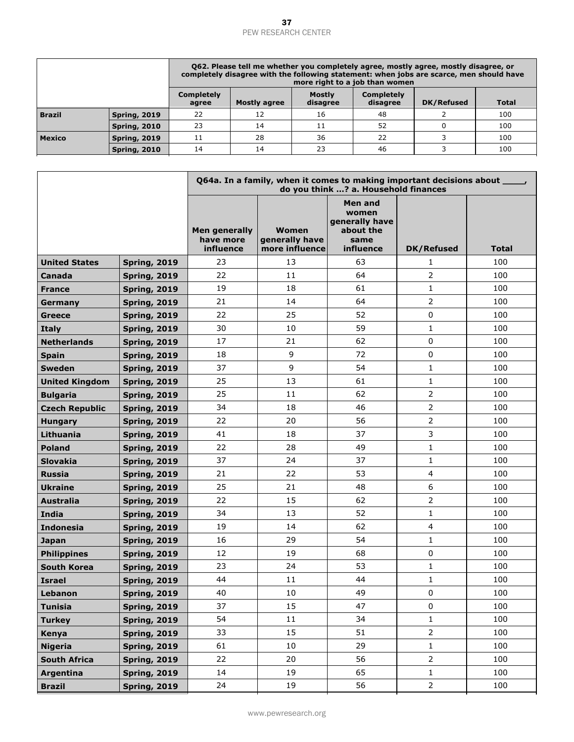|               |                     | Q62. Please tell me whether you completely agree, mostly agree, mostly disagree, or<br>completely disagree with the following statement: when jobs are scarce, men should have<br>more right to a job than women |    |    |    |  |     |  |  |
|---------------|---------------------|------------------------------------------------------------------------------------------------------------------------------------------------------------------------------------------------------------------|----|----|----|--|-----|--|--|
|               |                     | <b>Completely</b><br><b>Mostly</b><br>Completely<br>DK/Refused<br>Total<br>Mostly agree<br>disagree<br>disagree<br>agree                                                                                         |    |    |    |  |     |  |  |
| <b>Brazil</b> | <b>Spring, 2019</b> | 22                                                                                                                                                                                                               | 12 | 16 | 48 |  | 100 |  |  |
|               | <b>Spring, 2010</b> | 23                                                                                                                                                                                                               | 14 | 11 | 52 |  | 100 |  |  |
| <b>Mexico</b> | <b>Spring, 2019</b> | 11                                                                                                                                                                                                               | 28 | 36 | 22 |  | 100 |  |  |
|               | <b>Spring, 2010</b> | 14                                                                                                                                                                                                               | 14 | 23 | 46 |  | 100 |  |  |

|                       |                     |                                         | Q64a. In a family, when it comes to making important decisions about _____, | do you think ? a. Household finances                                 |                   |              |
|-----------------------|---------------------|-----------------------------------------|-----------------------------------------------------------------------------|----------------------------------------------------------------------|-------------------|--------------|
|                       |                     | Men generally<br>have more<br>influence | Women<br>generally have<br>more influence                                   | Men and<br>women<br>generally have<br>about the<br>same<br>influence | <b>DK/Refused</b> | <b>Total</b> |
| <b>United States</b>  | <b>Spring, 2019</b> | 23                                      | 13                                                                          | 63                                                                   | 1                 | 100          |
| Canada                | <b>Spring, 2019</b> | 22                                      | 11                                                                          | 64                                                                   | $\overline{2}$    | 100          |
| <b>France</b>         | <b>Spring, 2019</b> | 19                                      | 18                                                                          | 61                                                                   | $\mathbf{1}$      | 100          |
| Germany               | <b>Spring, 2019</b> | 21                                      | 14                                                                          | 64                                                                   | $\overline{2}$    | 100          |
| Greece                | <b>Spring, 2019</b> | 22                                      | 25                                                                          | 52                                                                   | $\mathbf 0$       | 100          |
| <b>Italy</b>          | <b>Spring, 2019</b> | 30                                      | 10                                                                          | 59                                                                   | $\mathbf{1}$      | 100          |
| <b>Netherlands</b>    | <b>Spring, 2019</b> | 17                                      | 21                                                                          | 62                                                                   | $\Omega$          | 100          |
| <b>Spain</b>          | <b>Spring, 2019</b> | 18                                      | 9                                                                           | 72                                                                   | $\mathbf 0$       | 100          |
| <b>Sweden</b>         | <b>Spring, 2019</b> | 37                                      | 9                                                                           | 54                                                                   | $\mathbf{1}$      | 100          |
| <b>United Kingdom</b> | <b>Spring, 2019</b> | 25                                      | 13                                                                          | 61                                                                   | $\mathbf{1}$      | 100          |
| <b>Bulgaria</b>       | <b>Spring, 2019</b> | 25                                      | 11                                                                          | 62                                                                   | $\overline{2}$    | 100          |
| <b>Czech Republic</b> | <b>Spring, 2019</b> | 34                                      | 18                                                                          | 46                                                                   | $\overline{2}$    | 100          |
| <b>Hungary</b>        | <b>Spring, 2019</b> | 22                                      | 20                                                                          | 56                                                                   | $\overline{2}$    | 100          |
| Lithuania             | <b>Spring, 2019</b> | 41                                      | 18                                                                          | 37                                                                   | 3                 | 100          |
| <b>Poland</b>         | <b>Spring, 2019</b> | 22                                      | 28                                                                          | 49                                                                   | $\mathbf{1}$      | 100          |
| <b>Slovakia</b>       | <b>Spring, 2019</b> | 37                                      | 24                                                                          | 37                                                                   | $\mathbf{1}$      | 100          |
| <b>Russia</b>         | <b>Spring, 2019</b> | 21                                      | 22                                                                          | 53                                                                   | $\overline{4}$    | 100          |
| <b>Ukraine</b>        | <b>Spring, 2019</b> | 25                                      | 21                                                                          | 48                                                                   | 6                 | 100          |
| <b>Australia</b>      | <b>Spring, 2019</b> | 22                                      | 15                                                                          | 62                                                                   | $\overline{2}$    | 100          |
| <b>India</b>          | <b>Spring, 2019</b> | 34                                      | 13                                                                          | 52                                                                   | $\mathbf{1}$      | 100          |
| <b>Indonesia</b>      | <b>Spring, 2019</b> | 19                                      | 14                                                                          | 62                                                                   | $\overline{4}$    | 100          |
| <b>Japan</b>          | <b>Spring, 2019</b> | 16                                      | 29                                                                          | 54                                                                   | $\mathbf{1}$      | 100          |
| <b>Philippines</b>    | <b>Spring, 2019</b> | 12                                      | 19                                                                          | 68                                                                   | $\mathbf 0$       | 100          |
| <b>South Korea</b>    | <b>Spring, 2019</b> | 23                                      | 24                                                                          | 53                                                                   | $\mathbf{1}$      | 100          |
| <b>Israel</b>         | <b>Spring, 2019</b> | 44                                      | 11                                                                          | 44                                                                   | $\mathbf{1}$      | 100          |
| Lebanon               | <b>Spring, 2019</b> | 40                                      | $10\,$                                                                      | 49                                                                   | $\pmb{0}$         | 100          |
| <b>Tunisia</b>        | <b>Spring, 2019</b> | 37                                      | 15                                                                          | 47                                                                   | $\mathbf 0$       | 100          |
| <b>Turkey</b>         | <b>Spring, 2019</b> | 54                                      | 11                                                                          | 34                                                                   | $\mathbf{1}$      | 100          |
| Kenya                 | <b>Spring, 2019</b> | 33                                      | 15                                                                          | 51                                                                   | $\overline{2}$    | 100          |
| <b>Nigeria</b>        | <b>Spring, 2019</b> | 61                                      | 10                                                                          | 29                                                                   | $\mathbf{1}$      | 100          |
| <b>South Africa</b>   | <b>Spring, 2019</b> | 22                                      | 20                                                                          | 56                                                                   | $\overline{2}$    | 100          |
| Argentina             | <b>Spring, 2019</b> | 14                                      | 19                                                                          | 65                                                                   | $\mathbf{1}$      | 100          |
| <b>Brazil</b>         | <b>Spring, 2019</b> | 24                                      | 19                                                                          | 56                                                                   | $\overline{2}$    | 100          |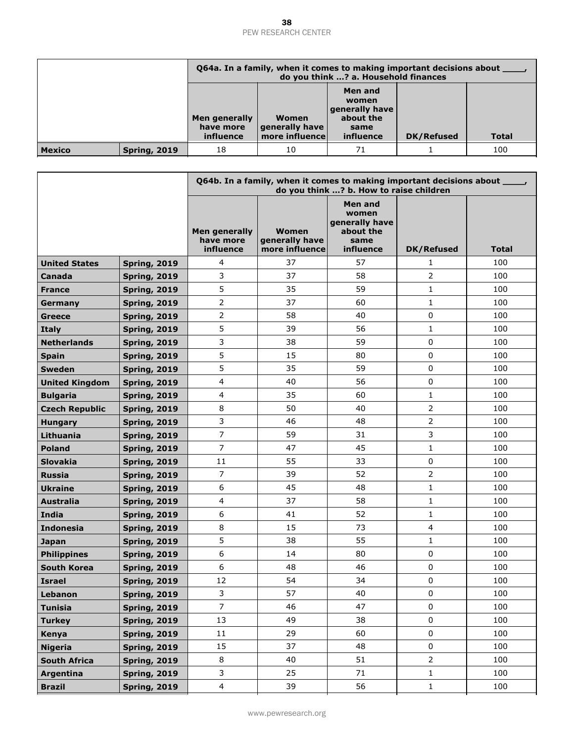|               |                     |                                         | Q64a. In a family, when it comes to making important decisions about _<br>do you think ? a. Household finances |                                                                      |                   |              |  |  |  |
|---------------|---------------------|-----------------------------------------|----------------------------------------------------------------------------------------------------------------|----------------------------------------------------------------------|-------------------|--------------|--|--|--|
|               |                     | Men generally<br>have more<br>influence | Women<br>generally have<br>more influence                                                                      | Men and<br>women<br>generally have<br>about the<br>same<br>influence | <b>DK/Refused</b> | <b>Total</b> |  |  |  |
| <b>Mexico</b> | <b>Spring, 2019</b> | 18                                      | 10                                                                                                             | 71                                                                   |                   | 100          |  |  |  |

|                       |                     |                                                | Q64b. In a family, when it comes to making important decisions about _____, | do you think ? b. How to raise children                              |                   |       |
|-----------------------|---------------------|------------------------------------------------|-----------------------------------------------------------------------------|----------------------------------------------------------------------|-------------------|-------|
|                       |                     | <b>Men generally</b><br>have more<br>influence | Women<br>generally have<br>more influence                                   | Men and<br>women<br>generally have<br>about the<br>same<br>influence | <b>DK/Refused</b> | Total |
| <b>United States</b>  | <b>Spring, 2019</b> | 4                                              | 37                                                                          | 57                                                                   | 1                 | 100   |
| Canada                | <b>Spring, 2019</b> | 3                                              | 37                                                                          | 58                                                                   | $\overline{2}$    | 100   |
| <b>France</b>         | <b>Spring, 2019</b> | 5                                              | 35                                                                          | 59                                                                   | $\mathbf{1}$      | 100   |
| Germany               | <b>Spring, 2019</b> | $\overline{2}$                                 | 37                                                                          | 60                                                                   | 1                 | 100   |
| <b>Greece</b>         | <b>Spring, 2019</b> | $\overline{2}$                                 | 58                                                                          | 40                                                                   | $\mathbf 0$       | 100   |
| <b>Italy</b>          | <b>Spring, 2019</b> | 5                                              | 39                                                                          | 56                                                                   | $\mathbf{1}$      | 100   |
| <b>Netherlands</b>    | <b>Spring, 2019</b> | 3                                              | 38                                                                          | 59                                                                   | 0                 | 100   |
| <b>Spain</b>          | <b>Spring, 2019</b> | 5                                              | 15                                                                          | 80                                                                   | $\mathbf 0$       | 100   |
| <b>Sweden</b>         | <b>Spring, 2019</b> | 5                                              | 35                                                                          | 59                                                                   | $\mathbf 0$       | 100   |
| <b>United Kingdom</b> | <b>Spring, 2019</b> | 4                                              | 40                                                                          | 56                                                                   | $\mathbf 0$       | 100   |
| <b>Bulgaria</b>       | <b>Spring, 2019</b> | 4                                              | 35                                                                          | 60                                                                   | 1                 | 100   |
| <b>Czech Republic</b> | <b>Spring, 2019</b> | 8                                              | 50                                                                          | 40                                                                   | 2                 | 100   |
| <b>Hungary</b>        | <b>Spring, 2019</b> | 3                                              | 46                                                                          | 48                                                                   | $\overline{2}$    | 100   |
| Lithuania             | <b>Spring, 2019</b> | $\overline{7}$                                 | 59                                                                          | 31                                                                   | 3                 | 100   |
| <b>Poland</b>         | <b>Spring, 2019</b> | $\overline{7}$                                 | 47                                                                          | 45                                                                   | $\mathbf{1}$      | 100   |
| <b>Slovakia</b>       | <b>Spring, 2019</b> | 11                                             | 55                                                                          | 33                                                                   | $\mathbf 0$       | 100   |
| <b>Russia</b>         | <b>Spring, 2019</b> | $\overline{7}$                                 | 39                                                                          | 52                                                                   | $\overline{2}$    | 100   |
| <b>Ukraine</b>        | <b>Spring, 2019</b> | 6                                              | 45                                                                          | 48                                                                   | $\mathbf{1}$      | 100   |
| <b>Australia</b>      | <b>Spring, 2019</b> | 4                                              | 37                                                                          | 58                                                                   | $\mathbf{1}$      | 100   |
| <b>India</b>          | <b>Spring, 2019</b> | 6                                              | 41                                                                          | 52                                                                   | $\mathbf{1}$      | 100   |
| <b>Indonesia</b>      | <b>Spring, 2019</b> | 8                                              | 15                                                                          | 73                                                                   | $\overline{4}$    | 100   |
| <b>Japan</b>          | <b>Spring, 2019</b> | 5                                              | 38                                                                          | 55                                                                   | $\mathbf{1}$      | 100   |
| <b>Philippines</b>    | <b>Spring, 2019</b> | 6                                              | 14                                                                          | 80                                                                   | $\mathbf 0$       | 100   |
| <b>South Korea</b>    | <b>Spring, 2019</b> | 6                                              | 48                                                                          | 46                                                                   | $\mathbf 0$       | 100   |
| <b>Israel</b>         | <b>Spring, 2019</b> | 12                                             | 54                                                                          | 34                                                                   | $\mathbf 0$       | 100   |
| Lebanon               | <b>Spring, 2019</b> | 3                                              | 57                                                                          | 40                                                                   | $\boldsymbol{0}$  | 100   |
| <b>Tunisia</b>        | <b>Spring, 2019</b> | $\overline{7}$                                 | 46                                                                          | 47                                                                   | $\Omega$          | 100   |
| <b>Turkey</b>         | <b>Spring, 2019</b> | 13                                             | 49                                                                          | 38                                                                   | $\mathbf 0$       | 100   |
| Kenya                 | <b>Spring, 2019</b> | 11                                             | 29                                                                          | 60                                                                   | $\mathsf 0$       | 100   |
| <b>Nigeria</b>        | <b>Spring, 2019</b> | 15                                             | 37                                                                          | 48                                                                   | $\mathbf 0$       | 100   |
| <b>South Africa</b>   | <b>Spring, 2019</b> | 8                                              | 40                                                                          | 51                                                                   | $\overline{2}$    | 100   |
| Argentina             | <b>Spring, 2019</b> | 3                                              | 25                                                                          | 71                                                                   | $\mathbf{1}$      | 100   |
| <b>Brazil</b>         | <b>Spring, 2019</b> | $\overline{4}$                                 | 39                                                                          | 56                                                                   | $\mathbf{1}$      | 100   |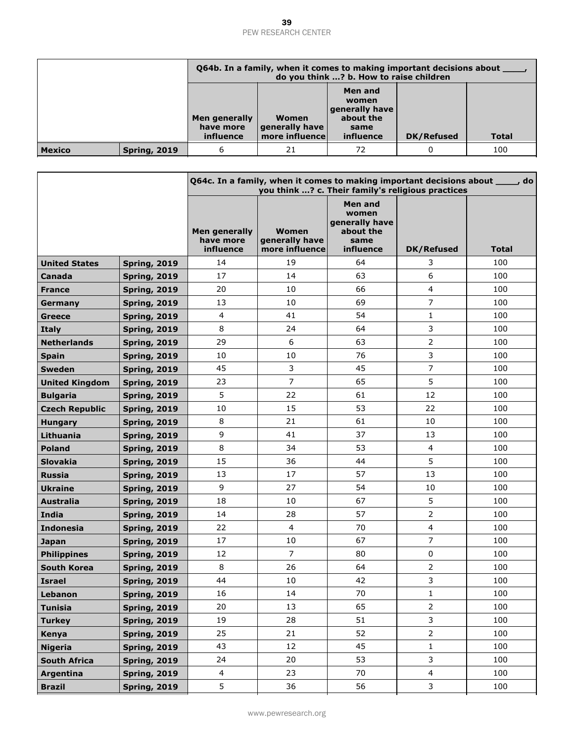|               |                     |                                         | Q64b. In a family, when it comes to making important decisions about<br>do you think ? b. How to raise children |                                                                      |                   |              |  |
|---------------|---------------------|-----------------------------------------|-----------------------------------------------------------------------------------------------------------------|----------------------------------------------------------------------|-------------------|--------------|--|
|               |                     | Men generally<br>have more<br>influence | Women<br>generally have<br>more influence                                                                       | Men and<br>women<br>generally have<br>about the<br>same<br>influence | <b>DK/Refused</b> | <b>Total</b> |  |
| <b>Mexico</b> | <b>Spring, 2019</b> |                                         | 21                                                                                                              | 72                                                                   |                   | 100          |  |

|                       |                     |                                                | Q64c. In a family, when it comes to making important decisions about ____, do<br>you think ? c. Their family's religious practices |                                                                      |                   |              |  |  |  |
|-----------------------|---------------------|------------------------------------------------|------------------------------------------------------------------------------------------------------------------------------------|----------------------------------------------------------------------|-------------------|--------------|--|--|--|
|                       |                     | <b>Men generally</b><br>have more<br>influence | Women<br>generally have<br>more influence                                                                                          | Men and<br>women<br>generally have<br>about the<br>same<br>influence | <b>DK/Refused</b> | <b>Total</b> |  |  |  |
| <b>United States</b>  | <b>Spring, 2019</b> | 14                                             | 19                                                                                                                                 | 64                                                                   | 3                 | 100          |  |  |  |
| Canada                | <b>Spring, 2019</b> | 17                                             | 14                                                                                                                                 | 63                                                                   | 6                 | 100          |  |  |  |
| <b>France</b>         | <b>Spring, 2019</b> | 20                                             | 10                                                                                                                                 | 66                                                                   | $\overline{4}$    | 100          |  |  |  |
| Germany               | <b>Spring, 2019</b> | 13                                             | 10                                                                                                                                 | 69                                                                   | $\overline{7}$    | 100          |  |  |  |
| <b>Greece</b>         | <b>Spring, 2019</b> | $\overline{4}$                                 | 41                                                                                                                                 | 54                                                                   | $\mathbf{1}$      | 100          |  |  |  |
| <b>Italy</b>          | <b>Spring, 2019</b> | 8                                              | 24                                                                                                                                 | 64                                                                   | 3                 | 100          |  |  |  |
| <b>Netherlands</b>    | <b>Spring, 2019</b> | 29                                             | 6                                                                                                                                  | 63                                                                   | $\overline{2}$    | 100          |  |  |  |
| <b>Spain</b>          | <b>Spring, 2019</b> | 10                                             | 10                                                                                                                                 | 76                                                                   | $\mathbf{3}$      | 100          |  |  |  |
| <b>Sweden</b>         | <b>Spring, 2019</b> | 45                                             | 3                                                                                                                                  | 45                                                                   | $\overline{7}$    | 100          |  |  |  |
| <b>United Kingdom</b> | <b>Spring, 2019</b> | 23                                             | $\overline{7}$                                                                                                                     | 65                                                                   | 5                 | 100          |  |  |  |
| <b>Bulgaria</b>       | <b>Spring, 2019</b> | 5                                              | 22                                                                                                                                 | 61                                                                   | 12                | 100          |  |  |  |
| <b>Czech Republic</b> | <b>Spring, 2019</b> | 10                                             | 15                                                                                                                                 | 53                                                                   | 22                | 100          |  |  |  |
| <b>Hungary</b>        | <b>Spring, 2019</b> | 8                                              | 21                                                                                                                                 | 61                                                                   | 10                | 100          |  |  |  |
| Lithuania             | <b>Spring, 2019</b> | 9                                              | 41                                                                                                                                 | 37                                                                   | 13                | 100          |  |  |  |
| <b>Poland</b>         | <b>Spring, 2019</b> | 8                                              | 34                                                                                                                                 | 53                                                                   | $\overline{4}$    | 100          |  |  |  |
| <b>Slovakia</b>       | <b>Spring, 2019</b> | 15                                             | 36                                                                                                                                 | 44                                                                   | 5                 | 100          |  |  |  |
| <b>Russia</b>         | <b>Spring, 2019</b> | 13                                             | 17                                                                                                                                 | 57                                                                   | 13                | 100          |  |  |  |
| <b>Ukraine</b>        | <b>Spring, 2019</b> | 9                                              | 27                                                                                                                                 | 54                                                                   | 10                | 100          |  |  |  |
| <b>Australia</b>      | <b>Spring, 2019</b> | 18                                             | 10                                                                                                                                 | 67                                                                   | 5                 | 100          |  |  |  |
| India                 | <b>Spring, 2019</b> | 14                                             | 28                                                                                                                                 | 57                                                                   | $\overline{2}$    | 100          |  |  |  |
| <b>Indonesia</b>      | <b>Spring, 2019</b> | 22                                             | $\overline{4}$                                                                                                                     | 70                                                                   | $\overline{4}$    | 100          |  |  |  |
| <b>Japan</b>          | <b>Spring, 2019</b> | 17                                             | 10                                                                                                                                 | 67                                                                   | $\overline{7}$    | 100          |  |  |  |
| <b>Philippines</b>    | <b>Spring, 2019</b> | 12                                             | 7                                                                                                                                  | 80                                                                   | $\mathsf 0$       | 100          |  |  |  |
| <b>South Korea</b>    | <b>Spring, 2019</b> | 8                                              | 26                                                                                                                                 | 64                                                                   | $\mathbf 2$       | 100          |  |  |  |
| <b>Israel</b>         | <b>Spring, 2019</b> | 44                                             | 10                                                                                                                                 | 42                                                                   | 3                 | 100          |  |  |  |
| Lebanon               | <b>Spring, 2019</b> | 16                                             | $14\,$                                                                                                                             | $70\,$                                                               | $\mathbf{1}$      | 100          |  |  |  |
| <b>Tunisia</b>        | <b>Spring, 2019</b> | 20                                             | 13                                                                                                                                 | 65                                                                   | $\overline{2}$    | 100          |  |  |  |
| <b>Turkey</b>         | <b>Spring, 2019</b> | 19                                             | 28                                                                                                                                 | 51                                                                   | 3                 | 100          |  |  |  |
| Kenya                 | <b>Spring, 2019</b> | 25                                             | 21                                                                                                                                 | 52                                                                   | $\overline{2}$    | 100          |  |  |  |
| <b>Nigeria</b>        | <b>Spring, 2019</b> | 43                                             | 12                                                                                                                                 | 45                                                                   | $\mathbf{1}$      | 100          |  |  |  |
| <b>South Africa</b>   | <b>Spring, 2019</b> | 24                                             | 20                                                                                                                                 | 53                                                                   | $\mathbf{3}$      | 100          |  |  |  |
| Argentina             | <b>Spring, 2019</b> | $\overline{4}$                                 | 23                                                                                                                                 | 70                                                                   | $\overline{4}$    | 100          |  |  |  |
| <b>Brazil</b>         | <b>Spring, 2019</b> | 5                                              | 36                                                                                                                                 | 56                                                                   | 3                 | 100          |  |  |  |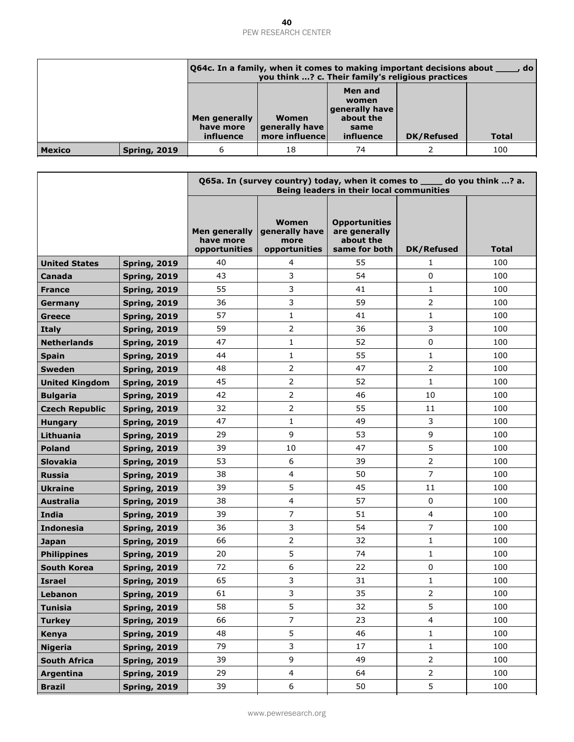|               |                     |                                                | 064c. In a family, when it comes to making important decisions about<br>, do l<br>you think ? c. Their family's religious practices |                                                                             |            |              |  |
|---------------|---------------------|------------------------------------------------|-------------------------------------------------------------------------------------------------------------------------------------|-----------------------------------------------------------------------------|------------|--------------|--|
|               |                     | <b>Men generally</b><br>have more<br>influence | Women<br>  generally have  <br>more influence                                                                                       | Men and<br>women<br><b>generally have</b><br>about the<br>same<br>influence | DK/Refused | <b>Total</b> |  |
| <b>Mexico</b> | <b>Spring, 2019</b> |                                                | 18                                                                                                                                  | 74                                                                          |            | 100          |  |

|                       |                     |                                             | Q65a. In (survey country) today, when it comes to ____ do you think ? a.<br>Being leaders in their local communities |                                                                     |                   |       |  |  |  |
|-----------------------|---------------------|---------------------------------------------|----------------------------------------------------------------------------------------------------------------------|---------------------------------------------------------------------|-------------------|-------|--|--|--|
|                       |                     | Men generally<br>have more<br>opportunities | <b>Women</b><br>generally have<br>more<br>opportunities                                                              | <b>Opportunities</b><br>are generally<br>about the<br>same for both | <b>DK/Refused</b> | Total |  |  |  |
| <b>United States</b>  | <b>Spring, 2019</b> | 40                                          | 4                                                                                                                    | 55                                                                  | 1                 | 100   |  |  |  |
| Canada                | <b>Spring, 2019</b> | 43                                          | 3                                                                                                                    | 54                                                                  | 0                 | 100   |  |  |  |
| <b>France</b>         | <b>Spring, 2019</b> | 55                                          | 3                                                                                                                    | 41                                                                  | $\mathbf{1}$      | 100   |  |  |  |
| Germany               | <b>Spring, 2019</b> | 36                                          | 3                                                                                                                    | 59                                                                  | 2                 | 100   |  |  |  |
| <b>Greece</b>         | <b>Spring, 2019</b> | 57                                          | $\mathbf{1}$                                                                                                         | 41                                                                  | $\mathbf{1}$      | 100   |  |  |  |
| <b>Italy</b>          | <b>Spring, 2019</b> | 59                                          | $\overline{2}$                                                                                                       | 36                                                                  | 3                 | 100   |  |  |  |
| <b>Netherlands</b>    | <b>Spring, 2019</b> | 47                                          | $\mathbf{1}$                                                                                                         | 52                                                                  | 0                 | 100   |  |  |  |
| <b>Spain</b>          | <b>Spring, 2019</b> | 44                                          | $\mathbf{1}$                                                                                                         | 55                                                                  | $\mathbf{1}$      | 100   |  |  |  |
| <b>Sweden</b>         | <b>Spring, 2019</b> | 48                                          | $\overline{2}$                                                                                                       | 47                                                                  | $\overline{2}$    | 100   |  |  |  |
| <b>United Kingdom</b> | <b>Spring, 2019</b> | 45                                          | $\overline{2}$                                                                                                       | 52                                                                  | $\mathbf{1}$      | 100   |  |  |  |
| <b>Bulgaria</b>       | <b>Spring, 2019</b> | 42                                          | $\overline{2}$                                                                                                       | 46                                                                  | 10                | 100   |  |  |  |
| <b>Czech Republic</b> | <b>Spring, 2019</b> | 32                                          | $\overline{2}$                                                                                                       | 55                                                                  | 11                | 100   |  |  |  |
| <b>Hungary</b>        | <b>Spring, 2019</b> | 47                                          | $\mathbf{1}$                                                                                                         | 49                                                                  | 3                 | 100   |  |  |  |
| Lithuania             | <b>Spring, 2019</b> | 29                                          | 9                                                                                                                    | 53                                                                  | 9                 | 100   |  |  |  |
| <b>Poland</b>         | <b>Spring, 2019</b> | 39                                          | 10                                                                                                                   | 47                                                                  | 5                 | 100   |  |  |  |
| <b>Slovakia</b>       | <b>Spring, 2019</b> | 53                                          | 6                                                                                                                    | 39                                                                  | 2                 | 100   |  |  |  |
| <b>Russia</b>         | <b>Spring, 2019</b> | 38                                          | 4                                                                                                                    | 50                                                                  | $\overline{7}$    | 100   |  |  |  |
| <b>Ukraine</b>        | <b>Spring, 2019</b> | 39                                          | 5                                                                                                                    | 45                                                                  | 11                | 100   |  |  |  |
| <b>Australia</b>      | <b>Spring, 2019</b> | 38                                          | $\overline{4}$                                                                                                       | 57                                                                  | 0                 | 100   |  |  |  |
| India                 | <b>Spring, 2019</b> | 39                                          | 7                                                                                                                    | 51                                                                  | 4                 | 100   |  |  |  |
| <b>Indonesia</b>      | <b>Spring, 2019</b> | 36                                          | 3                                                                                                                    | 54                                                                  | 7                 | 100   |  |  |  |
| <b>Japan</b>          | <b>Spring, 2019</b> | 66                                          | $\overline{2}$                                                                                                       | 32                                                                  | $\mathbf{1}$      | 100   |  |  |  |
| <b>Philippines</b>    | <b>Spring, 2019</b> | 20                                          | 5                                                                                                                    | 74                                                                  | $\mathbf{1}$      | 100   |  |  |  |
| <b>South Korea</b>    | <b>Spring, 2019</b> | 72                                          | 6                                                                                                                    | 22                                                                  | 0                 | 100   |  |  |  |
| <b>Israel</b>         | <b>Spring, 2019</b> | 65                                          | 3                                                                                                                    | 31                                                                  | 1                 | 100   |  |  |  |
| Lebanon               | <b>Spring, 2019</b> | 61                                          | 3                                                                                                                    | 35                                                                  | 2                 | 100   |  |  |  |
| <b>Tunisia</b>        | <b>Spring, 2019</b> | 58                                          | 5                                                                                                                    | 32                                                                  | 5                 | 100   |  |  |  |
| <b>Turkey</b>         | <b>Spring, 2019</b> | 66                                          | $\overline{7}$                                                                                                       | 23                                                                  | $\overline{4}$    | 100   |  |  |  |
| Kenya                 | <b>Spring, 2019</b> | 48                                          | 5                                                                                                                    | 46                                                                  | $\mathbf{1}$      | 100   |  |  |  |
| <b>Nigeria</b>        | <b>Spring, 2019</b> | 79                                          | 3                                                                                                                    | 17                                                                  | $\mathbf{1}$      | 100   |  |  |  |
| <b>South Africa</b>   | <b>Spring, 2019</b> | 39                                          | 9                                                                                                                    | 49                                                                  | $\overline{2}$    | 100   |  |  |  |
| Argentina             | <b>Spring, 2019</b> | 29                                          | $\overline{4}$                                                                                                       | 64                                                                  | $\overline{2}$    | 100   |  |  |  |
| <b>Brazil</b>         | <b>Spring, 2019</b> | 39                                          | 6                                                                                                                    | 50                                                                  | 5                 | 100   |  |  |  |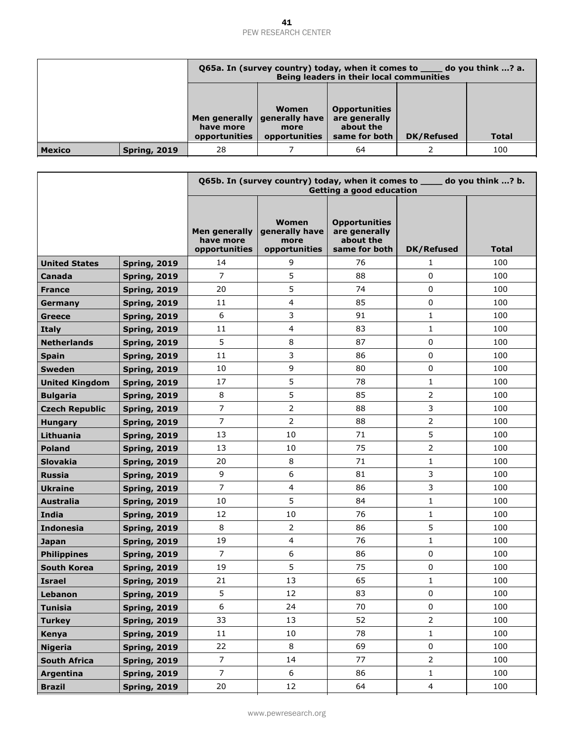|               |                     | Q65a. In (survey country) today, when it comes to sample 10 you think ? a.<br>Being leaders in their local communities |                       |                            |                   |       |  |
|---------------|---------------------|------------------------------------------------------------------------------------------------------------------------|-----------------------|----------------------------|-------------------|-------|--|
|               |                     | <b>Opportunities</b><br>Women<br>are generally<br>Men generally $ $ generally have $ $                                 |                       |                            |                   |       |  |
|               |                     | have more<br>opportunities                                                                                             | more<br>opportunities | about the<br>same for both | <b>DK/Refused</b> | Total |  |
| <b>Mexico</b> | <b>Spring, 2019</b> | 100<br>28<br>64                                                                                                        |                       |                            |                   |       |  |

|                       |                     | Q65b. In (survey country) today, when it comes to ____ do you think ? b.<br>Getting a good education |                                                         |                                                                     |                   |       |  |
|-----------------------|---------------------|------------------------------------------------------------------------------------------------------|---------------------------------------------------------|---------------------------------------------------------------------|-------------------|-------|--|
|                       |                     | Men generally<br>have more<br>opportunities                                                          | <b>Women</b><br>generally have<br>more<br>opportunities | <b>Opportunities</b><br>are generally<br>about the<br>same for both | <b>DK/Refused</b> | Total |  |
| <b>United States</b>  | <b>Spring, 2019</b> | 14                                                                                                   | 9                                                       | 76                                                                  | 1                 | 100   |  |
| Canada                | <b>Spring, 2019</b> | $\overline{7}$                                                                                       | 5                                                       | 88                                                                  | 0                 | 100   |  |
| <b>France</b>         | <b>Spring, 2019</b> | 20                                                                                                   | 5                                                       | 74                                                                  | 0                 | 100   |  |
| Germany               | <b>Spring, 2019</b> | 11                                                                                                   | $\overline{4}$                                          | 85                                                                  | 0                 | 100   |  |
| <b>Greece</b>         | <b>Spring, 2019</b> | 6                                                                                                    | 3                                                       | 91                                                                  | $\mathbf{1}$      | 100   |  |
| <b>Italy</b>          | <b>Spring, 2019</b> | 11                                                                                                   | 4                                                       | 83                                                                  | $\mathbf{1}$      | 100   |  |
| <b>Netherlands</b>    | <b>Spring, 2019</b> | 5                                                                                                    | $\,8\,$                                                 | 87                                                                  | 0                 | 100   |  |
| <b>Spain</b>          | <b>Spring, 2019</b> | 11                                                                                                   | 3                                                       | 86                                                                  | 0                 | 100   |  |
| <b>Sweden</b>         | <b>Spring, 2019</b> | 10                                                                                                   | 9                                                       | 80                                                                  | 0                 | 100   |  |
| <b>United Kingdom</b> | <b>Spring, 2019</b> | 17                                                                                                   | 5                                                       | 78                                                                  | 1                 | 100   |  |
| <b>Bulgaria</b>       | <b>Spring, 2019</b> | 8                                                                                                    | 5                                                       | 85                                                                  | $\overline{2}$    | 100   |  |
| <b>Czech Republic</b> | <b>Spring, 2019</b> | $\overline{7}$                                                                                       | $\overline{2}$                                          | 88                                                                  | 3                 | 100   |  |
| <b>Hungary</b>        | <b>Spring, 2019</b> | $\overline{7}$                                                                                       | $\overline{2}$                                          | 88                                                                  | $\overline{2}$    | 100   |  |
| Lithuania             | <b>Spring, 2019</b> | 13                                                                                                   | 10                                                      | 71                                                                  | 5                 | 100   |  |
| <b>Poland</b>         | <b>Spring, 2019</b> | 13                                                                                                   | 10                                                      | 75                                                                  | 2                 | 100   |  |
| <b>Slovakia</b>       | <b>Spring, 2019</b> | 20                                                                                                   | 8                                                       | 71                                                                  | 1                 | 100   |  |
| <b>Russia</b>         | <b>Spring, 2019</b> | 9                                                                                                    | 6                                                       | 81                                                                  | 3                 | 100   |  |
| <b>Ukraine</b>        | <b>Spring, 2019</b> | $\overline{7}$                                                                                       | $\overline{4}$                                          | 86                                                                  | 3                 | 100   |  |
| <b>Australia</b>      | <b>Spring, 2019</b> | 10                                                                                                   | 5                                                       | 84                                                                  | $\mathbf{1}$      | 100   |  |
| <b>India</b>          | <b>Spring, 2019</b> | 12                                                                                                   | 10                                                      | 76                                                                  | $\mathbf{1}$      | 100   |  |
| <b>Indonesia</b>      | <b>Spring, 2019</b> | 8                                                                                                    | $\overline{2}$                                          | 86                                                                  | 5                 | 100   |  |
| <b>Japan</b>          | <b>Spring, 2019</b> | 19                                                                                                   | $\overline{a}$                                          | 76                                                                  | $\mathbf{1}$      | 100   |  |
| <b>Philippines</b>    | <b>Spring, 2019</b> | $\overline{7}$                                                                                       | 6                                                       | 86                                                                  | 0                 | 100   |  |
| <b>South Korea</b>    | <b>Spring, 2019</b> | 19                                                                                                   | 5                                                       | 75                                                                  | 0                 | 100   |  |
| <b>Israel</b>         | <b>Spring, 2019</b> | 21                                                                                                   | 13                                                      | 65                                                                  | 1                 | 100   |  |
| Lebanon               | <b>Spring, 2019</b> | 5                                                                                                    | 12                                                      | 83                                                                  | 0                 | 100   |  |
| <b>Tunisia</b>        | <b>Spring, 2019</b> | 6                                                                                                    | 24                                                      | 70                                                                  | $\mathbf 0$       | 100   |  |
| <b>Turkey</b>         | <b>Spring, 2019</b> | 33                                                                                                   | 13                                                      | 52                                                                  | $\overline{2}$    | 100   |  |
| Kenya                 | <b>Spring, 2019</b> | 11                                                                                                   | 10                                                      | 78                                                                  | $\mathbf{1}$      | 100   |  |
| <b>Nigeria</b>        | <b>Spring, 2019</b> | 22                                                                                                   | 8                                                       | 69                                                                  | 0                 | 100   |  |
| <b>South Africa</b>   | <b>Spring, 2019</b> | $\overline{7}$                                                                                       | 14                                                      | 77                                                                  | $\overline{2}$    | 100   |  |
| Argentina             | <b>Spring, 2019</b> | $\overline{7}$                                                                                       | 6                                                       | 86                                                                  | $\mathbf{1}$      | 100   |  |
| <b>Brazil</b>         | <b>Spring, 2019</b> | 20                                                                                                   | 12                                                      | 64                                                                  | $\overline{4}$    | 100   |  |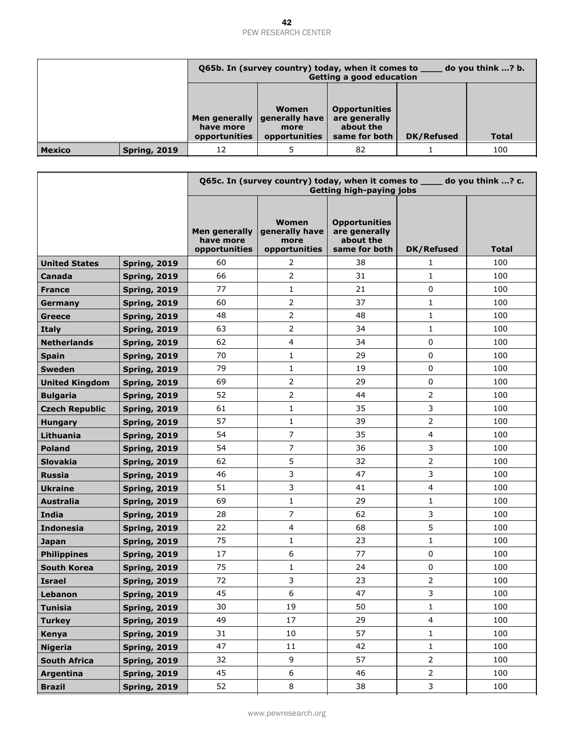|               |                     | $\frac{1}{\sqrt{1-\frac{1}{2}}}$ do you think ? b.<br>Q65b. In (survey country) today, when it comes to<br>Getting a good education |                       |               |                   |       |  |  |
|---------------|---------------------|-------------------------------------------------------------------------------------------------------------------------------------|-----------------------|---------------|-------------------|-------|--|--|
|               |                     | <b>Opportunities</b><br>Women<br>Men generally   generally have  <br>are generally<br>about the                                     |                       |               |                   |       |  |  |
|               |                     | have more<br>opportunities                                                                                                          | more<br>opportunities | same for both | <b>DK/Refused</b> | Total |  |  |
| <b>Mexico</b> | <b>Spring, 2019</b> | 12                                                                                                                                  | 100<br>82             |               |                   |       |  |  |

|                       |                     |                                                    | Q65c. In (survey country) today, when it comes to ____ do you think ? c.<br><b>Getting high-paying jobs</b> |                                                                     |                   |              |  |  |  |
|-----------------------|---------------------|----------------------------------------------------|-------------------------------------------------------------------------------------------------------------|---------------------------------------------------------------------|-------------------|--------------|--|--|--|
|                       |                     | <b>Men generally</b><br>have more<br>opportunities | Women<br>generally have<br>more<br>opportunities                                                            | <b>Opportunities</b><br>are generally<br>about the<br>same for both | <b>DK/Refused</b> | <b>Total</b> |  |  |  |
| <b>United States</b>  | <b>Spring, 2019</b> | 60                                                 | 2                                                                                                           | 38                                                                  | 1                 | 100          |  |  |  |
| Canada                | <b>Spring, 2019</b> | 66                                                 | $\overline{2}$                                                                                              | 31                                                                  | $\mathbf{1}$      | 100          |  |  |  |
| <b>France</b>         | <b>Spring, 2019</b> | 77                                                 | $\mathbf{1}$                                                                                                | 21                                                                  | 0                 | 100          |  |  |  |
| Germany               | <b>Spring, 2019</b> | 60                                                 | 2                                                                                                           | 37                                                                  | $\mathbf{1}$      | 100          |  |  |  |
| <b>Greece</b>         | <b>Spring, 2019</b> | 48                                                 | $\overline{2}$                                                                                              | 48                                                                  | 1                 | 100          |  |  |  |
| <b>Italy</b>          | <b>Spring, 2019</b> | 63                                                 | $\overline{2}$                                                                                              | 34                                                                  | $\mathbf{1}$      | 100          |  |  |  |
| <b>Netherlands</b>    | <b>Spring, 2019</b> | 62                                                 | 4                                                                                                           | 34                                                                  | 0                 | 100          |  |  |  |
| <b>Spain</b>          | <b>Spring, 2019</b> | 70                                                 | $\mathbf{1}$                                                                                                | 29                                                                  | 0                 | 100          |  |  |  |
| <b>Sweden</b>         | <b>Spring, 2019</b> | 79                                                 | 1                                                                                                           | 19                                                                  | 0                 | 100          |  |  |  |
| <b>United Kingdom</b> | <b>Spring, 2019</b> | 69                                                 | $\overline{2}$                                                                                              | 29                                                                  | 0                 | 100          |  |  |  |
| <b>Bulgaria</b>       | <b>Spring, 2019</b> | 52                                                 | $\overline{2}$                                                                                              | 44                                                                  | $\overline{2}$    | 100          |  |  |  |
| <b>Czech Republic</b> | <b>Spring, 2019</b> | 61                                                 | $\mathbf{1}$                                                                                                | 35                                                                  | 3                 | 100          |  |  |  |
| <b>Hungary</b>        | <b>Spring, 2019</b> | 57                                                 | $\mathbf{1}$                                                                                                | 39                                                                  | 2                 | 100          |  |  |  |
| Lithuania             | <b>Spring, 2019</b> | 54                                                 | $\overline{7}$                                                                                              | 35                                                                  | 4                 | 100          |  |  |  |
| <b>Poland</b>         | <b>Spring, 2019</b> | 54                                                 | $\overline{7}$                                                                                              | 36                                                                  | 3                 | 100          |  |  |  |
| <b>Slovakia</b>       | <b>Spring, 2019</b> | 62                                                 | 5                                                                                                           | 32                                                                  | 2                 | 100          |  |  |  |
| <b>Russia</b>         | <b>Spring, 2019</b> | 46                                                 | 3                                                                                                           | 47                                                                  | 3                 | 100          |  |  |  |
| <b>Ukraine</b>        | <b>Spring, 2019</b> | 51                                                 | 3                                                                                                           | 41                                                                  | 4                 | 100          |  |  |  |
| <b>Australia</b>      | <b>Spring, 2019</b> | 69                                                 | $\mathbf{1}$                                                                                                | 29                                                                  | 1                 | 100          |  |  |  |
| <b>India</b>          | <b>Spring, 2019</b> | 28                                                 | 7                                                                                                           | 62                                                                  | 3                 | 100          |  |  |  |
| <b>Indonesia</b>      | <b>Spring, 2019</b> | 22                                                 | 4                                                                                                           | 68                                                                  | 5                 | 100          |  |  |  |
| <b>Japan</b>          | <b>Spring, 2019</b> | 75                                                 | 1                                                                                                           | 23                                                                  | $\mathbf{1}$      | 100          |  |  |  |
| <b>Philippines</b>    | <b>Spring, 2019</b> | 17                                                 | 6                                                                                                           | 77                                                                  | 0                 | 100          |  |  |  |
| <b>South Korea</b>    | <b>Spring, 2019</b> | 75                                                 | 1                                                                                                           | 24                                                                  | 0                 | 100          |  |  |  |
| <b>Israel</b>         | <b>Spring, 2019</b> | 72                                                 | 3                                                                                                           | 23                                                                  | 2                 | 100          |  |  |  |
| Lebanon               | <b>Spring, 2019</b> | 45                                                 | $\boldsymbol{6}$                                                                                            | 47                                                                  | 3                 | 100          |  |  |  |
| <b>Tunisia</b>        | <b>Spring, 2019</b> | 30                                                 | 19                                                                                                          | 50                                                                  | $\mathbf{1}$      | 100          |  |  |  |
| <b>Turkey</b>         | <b>Spring, 2019</b> | 49                                                 | 17                                                                                                          | 29                                                                  | $\overline{4}$    | 100          |  |  |  |
| Kenya                 | <b>Spring, 2019</b> | 31                                                 | 10                                                                                                          | 57                                                                  | $\mathbf{1}$      | 100          |  |  |  |
| <b>Nigeria</b>        | <b>Spring, 2019</b> | 47                                                 | 11                                                                                                          | 42                                                                  | $\mathbf{1}$      | 100          |  |  |  |
| <b>South Africa</b>   | <b>Spring, 2019</b> | 32                                                 | 9                                                                                                           | 57                                                                  | $\overline{2}$    | 100          |  |  |  |
| Argentina             | <b>Spring, 2019</b> | 45                                                 | $\boldsymbol{6}$                                                                                            | 46                                                                  | $\overline{2}$    | 100          |  |  |  |
| <b>Brazil</b>         | <b>Spring, 2019</b> | 52                                                 | 8                                                                                                           | 38                                                                  | 3                 | 100          |  |  |  |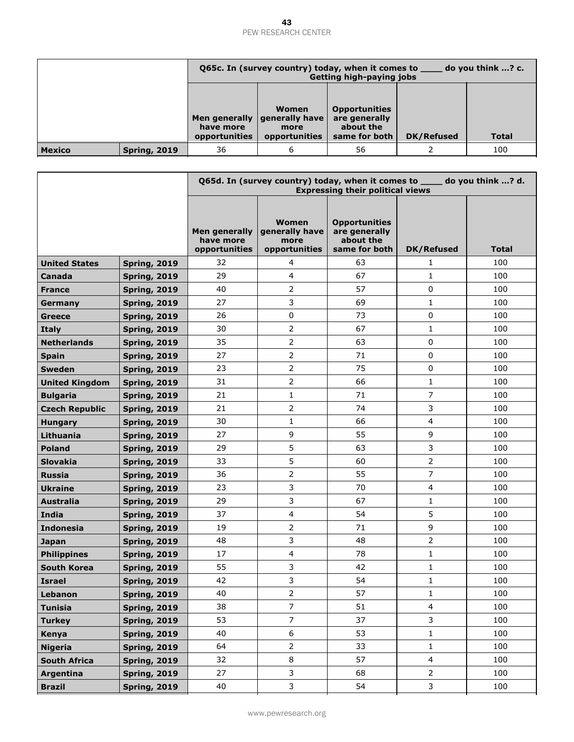|                                                                                                                                                                                       |                     | do you think ? c.<br>Q65c. In (survey country) today, when it comes to<br><b>Getting high-paying jobs</b> |                |  |       |  |  |  |
|---------------------------------------------------------------------------------------------------------------------------------------------------------------------------------------|---------------------|-----------------------------------------------------------------------------------------------------------|----------------|--|-------|--|--|--|
|                                                                                                                                                                                       |                     |                                                                                                           |                |  |       |  |  |  |
| <b>Opportunities</b><br>Women<br>Men generally   generally have  <br>are generally<br>about the<br>have more<br>more<br>DK/Refused<br>opportunities<br>opportunities<br>same for both |                     |                                                                                                           |                |  | Total |  |  |  |
| <b>Mexico</b>                                                                                                                                                                         | <b>Spring, 2019</b> | 36                                                                                                        | 100<br>56<br>6 |  |       |  |  |  |

|                       |                     |                                                    | Q65d. In (survey country) today, when it comes to _____ do you think ? d.<br><b>Expressing their political views</b> |                                                                     |                   |              |  |  |  |
|-----------------------|---------------------|----------------------------------------------------|----------------------------------------------------------------------------------------------------------------------|---------------------------------------------------------------------|-------------------|--------------|--|--|--|
|                       |                     | <b>Men generally</b><br>have more<br>opportunities | <b>Women</b><br>generally have<br>more<br>opportunities                                                              | <b>Opportunities</b><br>are generally<br>about the<br>same for both | <b>DK/Refused</b> | <b>Total</b> |  |  |  |
| <b>United States</b>  | <b>Spring, 2019</b> | 32                                                 | 4                                                                                                                    | 63                                                                  | $\mathbf{1}$      | 100          |  |  |  |
| Canada                | <b>Spring, 2019</b> | 29                                                 | $\overline{4}$                                                                                                       | 67                                                                  | $\mathbf{1}$      | 100          |  |  |  |
| <b>France</b>         | <b>Spring, 2019</b> | 40                                                 | $\overline{2}$                                                                                                       | 57                                                                  | 0                 | 100          |  |  |  |
| Germany               | <b>Spring, 2019</b> | 27                                                 | 3                                                                                                                    | 69                                                                  | $\mathbf{1}$      | 100          |  |  |  |
| <b>Greece</b>         | <b>Spring, 2019</b> | 26                                                 | 0                                                                                                                    | 73                                                                  | 0                 | 100          |  |  |  |
| <b>Italy</b>          | <b>Spring, 2019</b> | 30                                                 | $\overline{2}$                                                                                                       | 67                                                                  | $\mathbf{1}$      | 100          |  |  |  |
| <b>Netherlands</b>    | <b>Spring, 2019</b> | 35                                                 | 2                                                                                                                    | 63                                                                  | 0                 | 100          |  |  |  |
| <b>Spain</b>          | <b>Spring, 2019</b> | 27                                                 | $\overline{2}$                                                                                                       | 71                                                                  | 0                 | 100          |  |  |  |
| <b>Sweden</b>         | <b>Spring, 2019</b> | 23                                                 | $\overline{2}$                                                                                                       | 75                                                                  | 0                 | 100          |  |  |  |
| <b>United Kingdom</b> | <b>Spring, 2019</b> | 31                                                 | $\overline{2}$                                                                                                       | 66                                                                  | 1                 | 100          |  |  |  |
| <b>Bulgaria</b>       | <b>Spring, 2019</b> | 21                                                 | $\mathbf{1}$                                                                                                         | 71                                                                  | 7                 | 100          |  |  |  |
| <b>Czech Republic</b> | <b>Spring, 2019</b> | 21                                                 | $\overline{2}$                                                                                                       | 74                                                                  | 3                 | 100          |  |  |  |
| <b>Hungary</b>        | <b>Spring, 2019</b> | 30                                                 | $\mathbf{1}$                                                                                                         | 66                                                                  | 4                 | 100          |  |  |  |
| Lithuania             | <b>Spring, 2019</b> | 27                                                 | 9                                                                                                                    | 55                                                                  | 9                 | 100          |  |  |  |
| <b>Poland</b>         | <b>Spring, 2019</b> | 29                                                 | 5                                                                                                                    | 63                                                                  | 3                 | 100          |  |  |  |
| Slovakia              | <b>Spring, 2019</b> | 33                                                 | 5                                                                                                                    | 60                                                                  | 2                 | 100          |  |  |  |
| <b>Russia</b>         | <b>Spring, 2019</b> | 36                                                 | $\overline{2}$                                                                                                       | 55                                                                  | 7                 | 100          |  |  |  |
| <b>Ukraine</b>        | <b>Spring, 2019</b> | 23                                                 | 3                                                                                                                    | 70                                                                  | 4                 | 100          |  |  |  |
| <b>Australia</b>      | <b>Spring, 2019</b> | 29                                                 | 3                                                                                                                    | 67                                                                  | $\mathbf{1}$      | 100          |  |  |  |
| <b>India</b>          | <b>Spring, 2019</b> | 37                                                 | 4                                                                                                                    | 54                                                                  | 5                 | 100          |  |  |  |
| <b>Indonesia</b>      | <b>Spring, 2019</b> | 19                                                 | $\overline{2}$                                                                                                       | 71                                                                  | 9                 | 100          |  |  |  |
| <b>Japan</b>          | <b>Spring, 2019</b> | 48                                                 | 3                                                                                                                    | 48                                                                  | $\overline{2}$    | 100          |  |  |  |
| <b>Philippines</b>    | <b>Spring, 2019</b> | 17                                                 | 4                                                                                                                    | 78                                                                  | $\mathbf{1}$      | 100          |  |  |  |
| <b>South Korea</b>    | <b>Spring, 2019</b> | 55                                                 | 3                                                                                                                    | 42                                                                  | $\mathbf{1}$      | 100          |  |  |  |
| <b>Israel</b>         | <b>Spring, 2019</b> | 42                                                 | 3                                                                                                                    | 54                                                                  | $\mathbf{1}$      | 100          |  |  |  |
| Lebanon               | <b>Spring, 2019</b> | 40                                                 | 2                                                                                                                    | 57                                                                  | $\mathbf{1}$      | 100          |  |  |  |
| <b>Tunisia</b>        | <b>Spring, 2019</b> | 38                                                 | 7                                                                                                                    | 51                                                                  | 4                 | 100          |  |  |  |
| <b>Turkey</b>         | <b>Spring, 2019</b> | 53                                                 | $\overline{7}$                                                                                                       | 37                                                                  | 3                 | 100          |  |  |  |
| Kenya                 | <b>Spring, 2019</b> | 40                                                 | 6                                                                                                                    | 53                                                                  | $\mathbf{1}$      | 100          |  |  |  |
| <b>Nigeria</b>        | <b>Spring, 2019</b> | 64                                                 | $\overline{2}$                                                                                                       | 33                                                                  | $\mathbf{1}$      | 100          |  |  |  |
| <b>South Africa</b>   | <b>Spring, 2019</b> | 32                                                 | $\,8\,$                                                                                                              | 57                                                                  | $\overline{4}$    | 100          |  |  |  |
| Argentina             | <b>Spring, 2019</b> | 27                                                 | 3                                                                                                                    | 68                                                                  | $\overline{2}$    | 100          |  |  |  |
| <b>Brazil</b>         | <b>Spring, 2019</b> | 40                                                 | 3                                                                                                                    | 54                                                                  | 3                 | 100          |  |  |  |